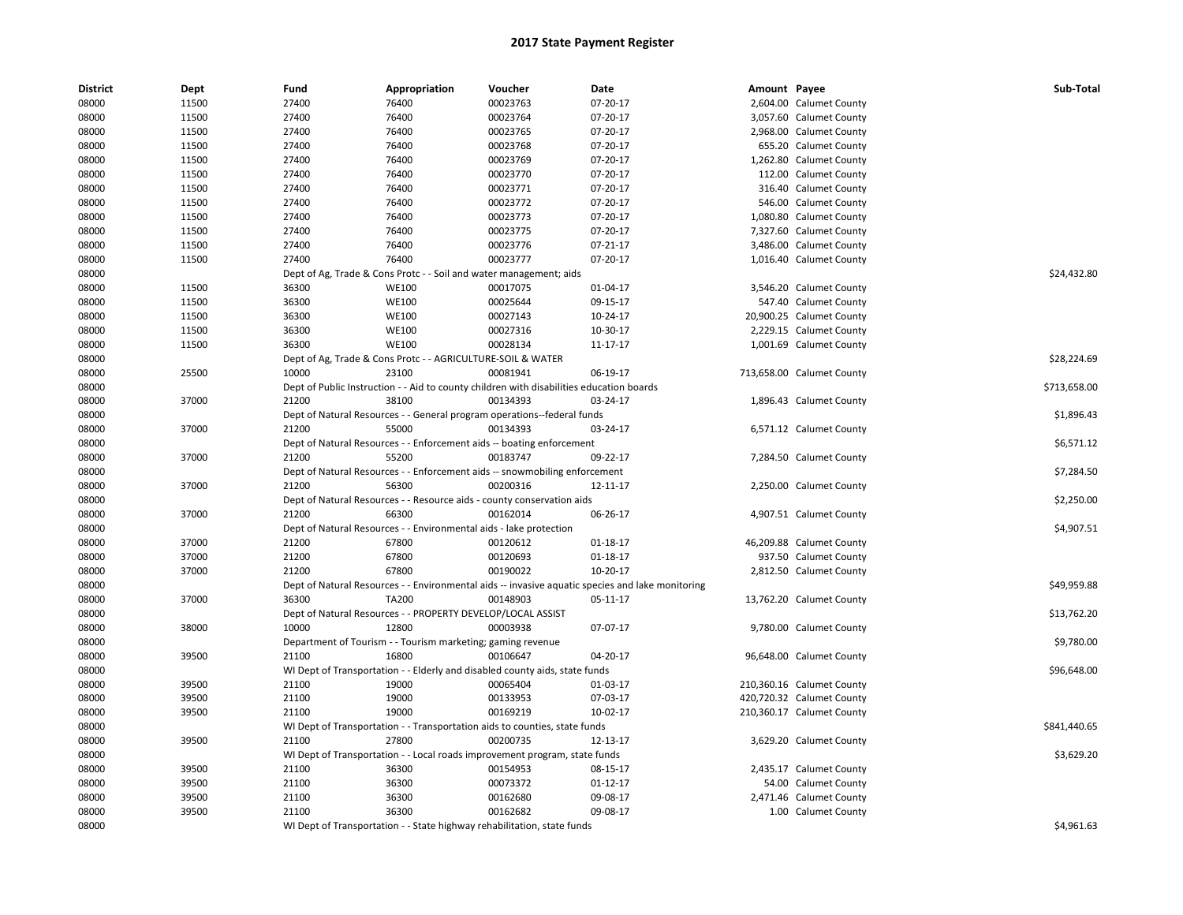| <b>District</b> | Dept  | Fund  | Appropriation                                                                            | Voucher  | Date                                                                                             | Amount Payee |                           | Sub-Total    |
|-----------------|-------|-------|------------------------------------------------------------------------------------------|----------|--------------------------------------------------------------------------------------------------|--------------|---------------------------|--------------|
| 08000           | 11500 | 27400 | 76400                                                                                    | 00023763 | 07-20-17                                                                                         |              | 2,604.00 Calumet County   |              |
| 08000           | 11500 | 27400 | 76400                                                                                    | 00023764 | 07-20-17                                                                                         |              | 3,057.60 Calumet County   |              |
| 08000           | 11500 | 27400 | 76400                                                                                    | 00023765 | 07-20-17                                                                                         |              | 2,968.00 Calumet County   |              |
| 08000           | 11500 | 27400 | 76400                                                                                    | 00023768 | 07-20-17                                                                                         |              | 655.20 Calumet County     |              |
| 08000           | 11500 | 27400 | 76400                                                                                    | 00023769 | 07-20-17                                                                                         |              | 1,262.80 Calumet County   |              |
| 08000           | 11500 | 27400 | 76400                                                                                    | 00023770 | 07-20-17                                                                                         |              | 112.00 Calumet County     |              |
| 08000           | 11500 | 27400 | 76400                                                                                    | 00023771 | 07-20-17                                                                                         |              | 316.40 Calumet County     |              |
| 08000           | 11500 | 27400 | 76400                                                                                    | 00023772 | 07-20-17                                                                                         |              | 546.00 Calumet County     |              |
| 08000           | 11500 | 27400 | 76400                                                                                    | 00023773 | 07-20-17                                                                                         |              | 1,080.80 Calumet County   |              |
| 08000           | 11500 | 27400 | 76400                                                                                    | 00023775 | 07-20-17                                                                                         |              | 7,327.60 Calumet County   |              |
| 08000           | 11500 | 27400 | 76400                                                                                    | 00023776 | $07 - 21 - 17$                                                                                   |              | 3,486.00 Calumet County   |              |
| 08000           | 11500 | 27400 | 76400                                                                                    | 00023777 | 07-20-17                                                                                         |              | 1,016.40 Calumet County   |              |
| 08000           |       |       | Dept of Ag, Trade & Cons Protc - - Soil and water management; aids                       |          |                                                                                                  |              |                           | \$24,432.80  |
| 08000           | 11500 | 36300 | <b>WE100</b>                                                                             | 00017075 | 01-04-17                                                                                         |              | 3,546.20 Calumet County   |              |
| 08000           | 11500 | 36300 | <b>WE100</b>                                                                             | 00025644 | 09-15-17                                                                                         |              | 547.40 Calumet County     |              |
| 08000           | 11500 | 36300 | <b>WE100</b>                                                                             | 00027143 | 10-24-17                                                                                         |              | 20,900.25 Calumet County  |              |
| 08000           | 11500 | 36300 | <b>WE100</b>                                                                             | 00027316 | 10-30-17                                                                                         |              | 2,229.15 Calumet County   |              |
| 08000           | 11500 | 36300 | WE100                                                                                    | 00028134 | 11-17-17                                                                                         |              | 1,001.69 Calumet County   |              |
| 08000           |       |       | Dept of Ag, Trade & Cons Protc - - AGRICULTURE-SOIL & WATER                              |          |                                                                                                  |              |                           | \$28,224.69  |
| 08000           | 25500 | 10000 | 23100                                                                                    | 00081941 | 06-19-17                                                                                         |              | 713,658.00 Calumet County |              |
| 08000           |       |       | Dept of Public Instruction - - Aid to county children with disabilities education boards |          |                                                                                                  |              |                           | \$713,658.00 |
| 08000           | 37000 | 21200 | 38100                                                                                    | 00134393 | 03-24-17                                                                                         |              | 1,896.43 Calumet County   |              |
| 08000           |       |       | Dept of Natural Resources - - General program operations--federal funds                  |          |                                                                                                  |              |                           | \$1,896.43   |
| 08000           | 37000 | 21200 | 55000                                                                                    | 00134393 | 03-24-17                                                                                         |              | 6,571.12 Calumet County   |              |
| 08000           |       |       | Dept of Natural Resources - - Enforcement aids -- boating enforcement                    |          |                                                                                                  |              |                           | \$6,571.12   |
| 08000           | 37000 | 21200 | 55200                                                                                    | 00183747 | 09-22-17                                                                                         |              | 7,284.50 Calumet County   |              |
| 08000           |       |       | Dept of Natural Resources - - Enforcement aids -- snowmobiling enforcement               |          |                                                                                                  |              |                           | \$7,284.50   |
| 08000           | 37000 | 21200 | 56300                                                                                    | 00200316 | 12-11-17                                                                                         |              | 2,250.00 Calumet County   |              |
| 08000           |       |       | Dept of Natural Resources - - Resource aids - county conservation aids                   |          |                                                                                                  |              |                           | \$2,250.00   |
| 08000           | 37000 | 21200 | 66300                                                                                    | 00162014 | 06-26-17                                                                                         |              | 4,907.51 Calumet County   |              |
| 08000           |       |       | Dept of Natural Resources - - Environmental aids - lake protection                       |          |                                                                                                  |              |                           | \$4,907.51   |
| 08000           | 37000 | 21200 | 67800                                                                                    | 00120612 | 01-18-17                                                                                         |              | 46,209.88 Calumet County  |              |
| 08000           | 37000 | 21200 | 67800                                                                                    | 00120693 | $01 - 18 - 17$                                                                                   |              | 937.50 Calumet County     |              |
| 08000           | 37000 | 21200 | 67800                                                                                    | 00190022 | 10-20-17                                                                                         |              | 2,812.50 Calumet County   |              |
| 08000           |       |       |                                                                                          |          | Dept of Natural Resources - - Environmental aids -- invasive aquatic species and lake monitoring |              |                           | \$49,959.88  |
| 08000           | 37000 | 36300 | <b>TA200</b>                                                                             | 00148903 | 05-11-17                                                                                         |              | 13,762.20 Calumet County  |              |
| 08000           |       |       | Dept of Natural Resources - - PROPERTY DEVELOP/LOCAL ASSIST                              |          |                                                                                                  |              |                           | \$13,762.20  |
| 08000           | 38000 | 10000 | 12800                                                                                    | 00003938 | 07-07-17                                                                                         |              | 9,780.00 Calumet County   |              |
| 08000           |       |       | Department of Tourism - - Tourism marketing; gaming revenue                              |          |                                                                                                  |              |                           | \$9,780.00   |
| 08000           | 39500 | 21100 | 16800                                                                                    | 00106647 | 04-20-17                                                                                         |              | 96,648.00 Calumet County  |              |
| 08000           |       |       | WI Dept of Transportation - - Elderly and disabled county aids, state funds              |          |                                                                                                  |              |                           | \$96,648.00  |
| 08000           | 39500 | 21100 | 19000                                                                                    | 00065404 | 01-03-17                                                                                         |              | 210,360.16 Calumet County |              |
| 08000           | 39500 | 21100 | 19000                                                                                    | 00133953 | 07-03-17                                                                                         |              | 420,720.32 Calumet County |              |
| 08000           | 39500 | 21100 | 19000                                                                                    | 00169219 | 10-02-17                                                                                         |              | 210,360.17 Calumet County |              |
| 08000           |       |       | WI Dept of Transportation - - Transportation aids to counties, state funds               |          |                                                                                                  |              |                           | \$841,440.65 |
| 08000           | 39500 | 21100 | 27800                                                                                    | 00200735 | 12-13-17                                                                                         |              | 3,629.20 Calumet County   |              |
| 08000           |       |       | WI Dept of Transportation - - Local roads improvement program, state funds               |          |                                                                                                  |              |                           | \$3,629.20   |
| 08000           | 39500 | 21100 | 36300                                                                                    | 00154953 | 08-15-17                                                                                         |              | 2,435.17 Calumet County   |              |
| 08000           | 39500 | 21100 | 36300                                                                                    | 00073372 | $01 - 12 - 17$                                                                                   |              | 54.00 Calumet County      |              |
|                 | 39500 | 21100 | 36300                                                                                    | 00162680 |                                                                                                  |              | 2,471.46 Calumet County   |              |
| 08000<br>08000  | 39500 | 21100 | 36300                                                                                    | 00162682 | 09-08-17<br>09-08-17                                                                             |              | 1.00 Calumet County       |              |
|                 |       |       |                                                                                          |          |                                                                                                  |              |                           |              |
| 08000           |       |       | WI Dept of Transportation - - State highway rehabilitation, state funds                  |          |                                                                                                  |              |                           | \$4,961.63   |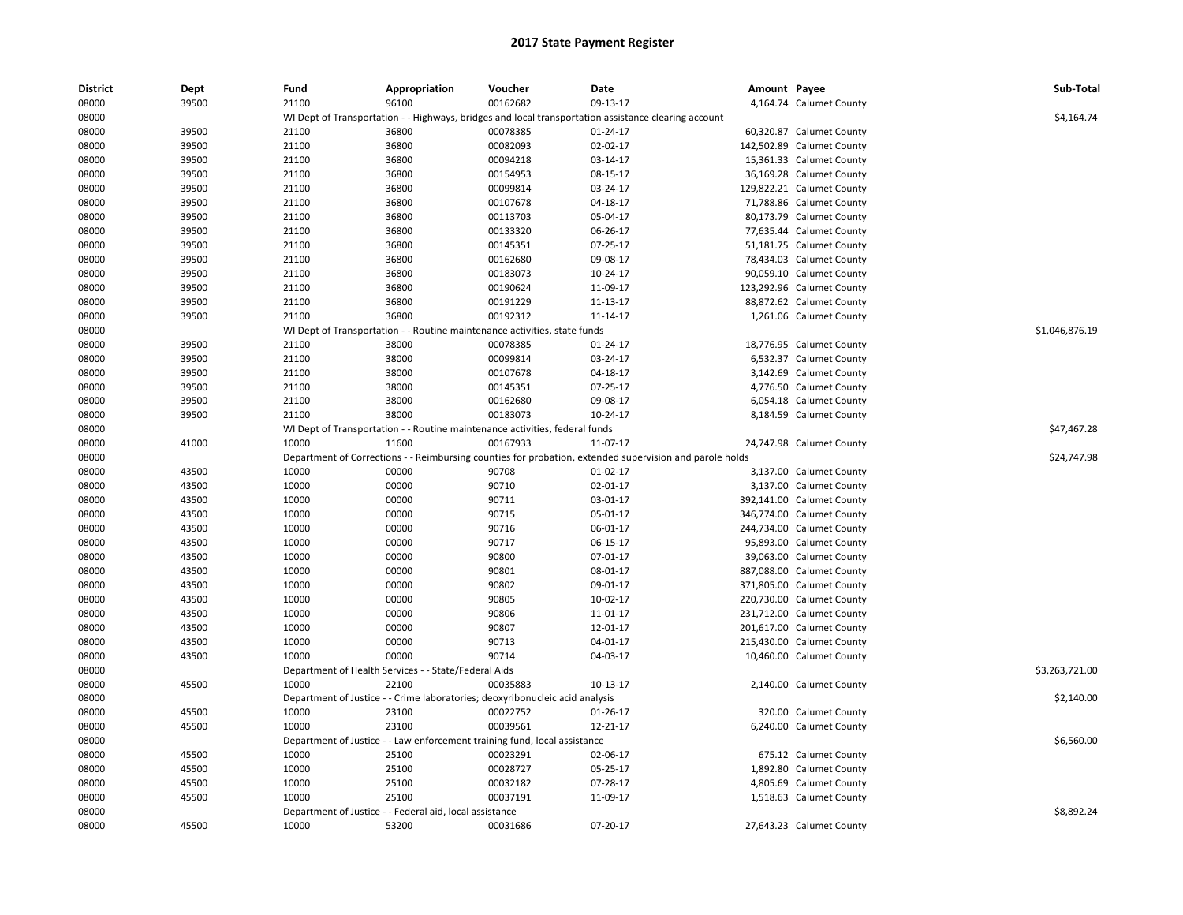| <b>District</b> | Dept  | Fund  | Appropriation                                                                | Voucher  | Date                                                                                                    | Amount Payee |                           | Sub-Total      |
|-----------------|-------|-------|------------------------------------------------------------------------------|----------|---------------------------------------------------------------------------------------------------------|--------------|---------------------------|----------------|
| 08000           | 39500 | 21100 | 96100                                                                        | 00162682 | 09-13-17                                                                                                |              | 4,164.74 Calumet County   |                |
| 08000           |       |       |                                                                              |          | WI Dept of Transportation - - Highways, bridges and local transportation assistance clearing account    |              |                           | \$4,164.74     |
| 08000           | 39500 | 21100 | 36800                                                                        | 00078385 | 01-24-17                                                                                                |              | 60,320.87 Calumet County  |                |
| 08000           | 39500 | 21100 | 36800                                                                        | 00082093 | $02 - 02 - 17$                                                                                          |              | 142,502.89 Calumet County |                |
| 08000           | 39500 | 21100 | 36800                                                                        | 00094218 | 03-14-17                                                                                                |              | 15,361.33 Calumet County  |                |
| 08000           | 39500 | 21100 | 36800                                                                        | 00154953 | 08-15-17                                                                                                |              | 36,169.28 Calumet County  |                |
| 08000           | 39500 | 21100 | 36800                                                                        | 00099814 | 03-24-17                                                                                                |              | 129,822.21 Calumet County |                |
| 08000           | 39500 | 21100 | 36800                                                                        | 00107678 | 04-18-17                                                                                                |              | 71,788.86 Calumet County  |                |
| 08000           | 39500 | 21100 | 36800                                                                        | 00113703 | 05-04-17                                                                                                |              | 80,173.79 Calumet County  |                |
| 08000           | 39500 | 21100 | 36800                                                                        | 00133320 | 06-26-17                                                                                                |              | 77,635.44 Calumet County  |                |
| 08000           | 39500 | 21100 | 36800                                                                        | 00145351 | 07-25-17                                                                                                |              | 51,181.75 Calumet County  |                |
| 08000           | 39500 | 21100 | 36800                                                                        | 00162680 | 09-08-17                                                                                                |              | 78,434.03 Calumet County  |                |
| 08000           | 39500 | 21100 | 36800                                                                        | 00183073 | 10-24-17                                                                                                |              | 90,059.10 Calumet County  |                |
| 08000           | 39500 | 21100 | 36800                                                                        | 00190624 | 11-09-17                                                                                                |              | 123,292.96 Calumet County |                |
| 08000           | 39500 | 21100 | 36800                                                                        | 00191229 | 11-13-17                                                                                                |              | 88,872.62 Calumet County  |                |
| 08000           | 39500 | 21100 | 36800                                                                        | 00192312 | 11-14-17                                                                                                |              | 1,261.06 Calumet County   |                |
| 08000           |       |       | WI Dept of Transportation - - Routine maintenance activities, state funds    |          |                                                                                                         |              |                           | \$1,046,876.19 |
| 08000           | 39500 | 21100 | 38000                                                                        | 00078385 | 01-24-17                                                                                                |              | 18,776.95 Calumet County  |                |
| 08000           | 39500 | 21100 | 38000                                                                        | 00099814 | 03-24-17                                                                                                |              | 6,532.37 Calumet County   |                |
| 08000           | 39500 | 21100 | 38000                                                                        | 00107678 | 04-18-17                                                                                                |              | 3,142.69 Calumet County   |                |
| 08000           | 39500 | 21100 | 38000                                                                        | 00145351 | 07-25-17                                                                                                |              | 4,776.50 Calumet County   |                |
| 08000           | 39500 | 21100 | 38000                                                                        | 00162680 | 09-08-17                                                                                                |              | 6,054.18 Calumet County   |                |
| 08000           | 39500 | 21100 | 38000                                                                        | 00183073 | 10-24-17                                                                                                |              | 8,184.59 Calumet County   |                |
| 08000           |       |       | WI Dept of Transportation - - Routine maintenance activities, federal funds  |          |                                                                                                         |              |                           | \$47,467.28    |
| 08000           | 41000 | 10000 | 11600                                                                        | 00167933 | 11-07-17                                                                                                |              | 24,747.98 Calumet County  |                |
| 08000           |       |       |                                                                              |          | Department of Corrections - - Reimbursing counties for probation, extended supervision and parole holds |              |                           | \$24,747.98    |
| 08000           | 43500 | 10000 | 00000                                                                        | 90708    | $01-02-17$                                                                                              |              | 3,137.00 Calumet County   |                |
| 08000           | 43500 | 10000 | 00000                                                                        | 90710    | $02 - 01 - 17$                                                                                          |              | 3,137.00 Calumet County   |                |
| 08000           | 43500 | 10000 | 00000                                                                        | 90711    | 03-01-17                                                                                                |              | 392,141.00 Calumet County |                |
| 08000           | 43500 | 10000 | 00000                                                                        | 90715    | 05-01-17                                                                                                |              | 346,774.00 Calumet County |                |
| 08000           | 43500 | 10000 | 00000                                                                        | 90716    | 06-01-17                                                                                                |              | 244,734.00 Calumet County |                |
| 08000           | 43500 | 10000 | 00000                                                                        | 90717    | 06-15-17                                                                                                |              | 95,893.00 Calumet County  |                |
| 08000           | 43500 | 10000 | 00000                                                                        | 90800    | 07-01-17                                                                                                |              | 39,063.00 Calumet County  |                |
| 08000           | 43500 | 10000 | 00000                                                                        | 90801    | 08-01-17                                                                                                |              | 887,088.00 Calumet County |                |
| 08000           | 43500 | 10000 | 00000                                                                        | 90802    | 09-01-17                                                                                                |              | 371,805.00 Calumet County |                |
| 08000           | 43500 | 10000 | 00000                                                                        | 90805    | 10-02-17                                                                                                |              | 220,730.00 Calumet County |                |
| 08000           | 43500 | 10000 | 00000                                                                        | 90806    | 11-01-17                                                                                                |              | 231,712.00 Calumet County |                |
| 08000           | 43500 | 10000 | 00000                                                                        | 90807    | 12-01-17                                                                                                |              | 201,617.00 Calumet County |                |
| 08000           | 43500 | 10000 | 00000                                                                        | 90713    | $04 - 01 - 17$                                                                                          |              | 215,430.00 Calumet County |                |
| 08000           | 43500 | 10000 | 00000                                                                        | 90714    | 04-03-17                                                                                                |              | 10,460.00 Calumet County  |                |
| 08000           |       |       | Department of Health Services - - State/Federal Aids                         |          |                                                                                                         |              |                           | \$3,263,721.00 |
| 08000           | 45500 | 10000 | 22100                                                                        | 00035883 | 10-13-17                                                                                                |              | 2,140.00 Calumet County   |                |
| 08000           |       |       | Department of Justice - - Crime laboratories; deoxyribonucleic acid analysis |          |                                                                                                         |              |                           | \$2,140.00     |
| 08000           | 45500 | 10000 | 23100                                                                        | 00022752 | 01-26-17                                                                                                |              | 320.00 Calumet County     |                |
| 08000           | 45500 | 10000 | 23100                                                                        | 00039561 | 12-21-17                                                                                                |              | 6,240.00 Calumet County   |                |
| 08000           |       |       | Department of Justice - - Law enforcement training fund, local assistance    |          |                                                                                                         |              |                           | \$6,560.00     |
| 08000           | 45500 | 10000 | 25100                                                                        | 00023291 | 02-06-17                                                                                                |              | 675.12 Calumet County     |                |
| 08000           | 45500 | 10000 | 25100                                                                        | 00028727 | 05-25-17                                                                                                |              | 1,892.80 Calumet County   |                |
| 08000           | 45500 | 10000 | 25100                                                                        | 00032182 | 07-28-17                                                                                                |              | 4,805.69 Calumet County   |                |
| 08000           | 45500 | 10000 | 25100                                                                        | 00037191 | 11-09-17                                                                                                |              | 1,518.63 Calumet County   |                |
| 08000           |       |       | Department of Justice - - Federal aid, local assistance                      |          |                                                                                                         |              |                           | \$8.892.24     |
| 08000           | 45500 | 10000 | 53200                                                                        | 00031686 | 07-20-17                                                                                                |              | 27,643.23 Calumet County  |                |
|                 |       |       |                                                                              |          |                                                                                                         |              |                           |                |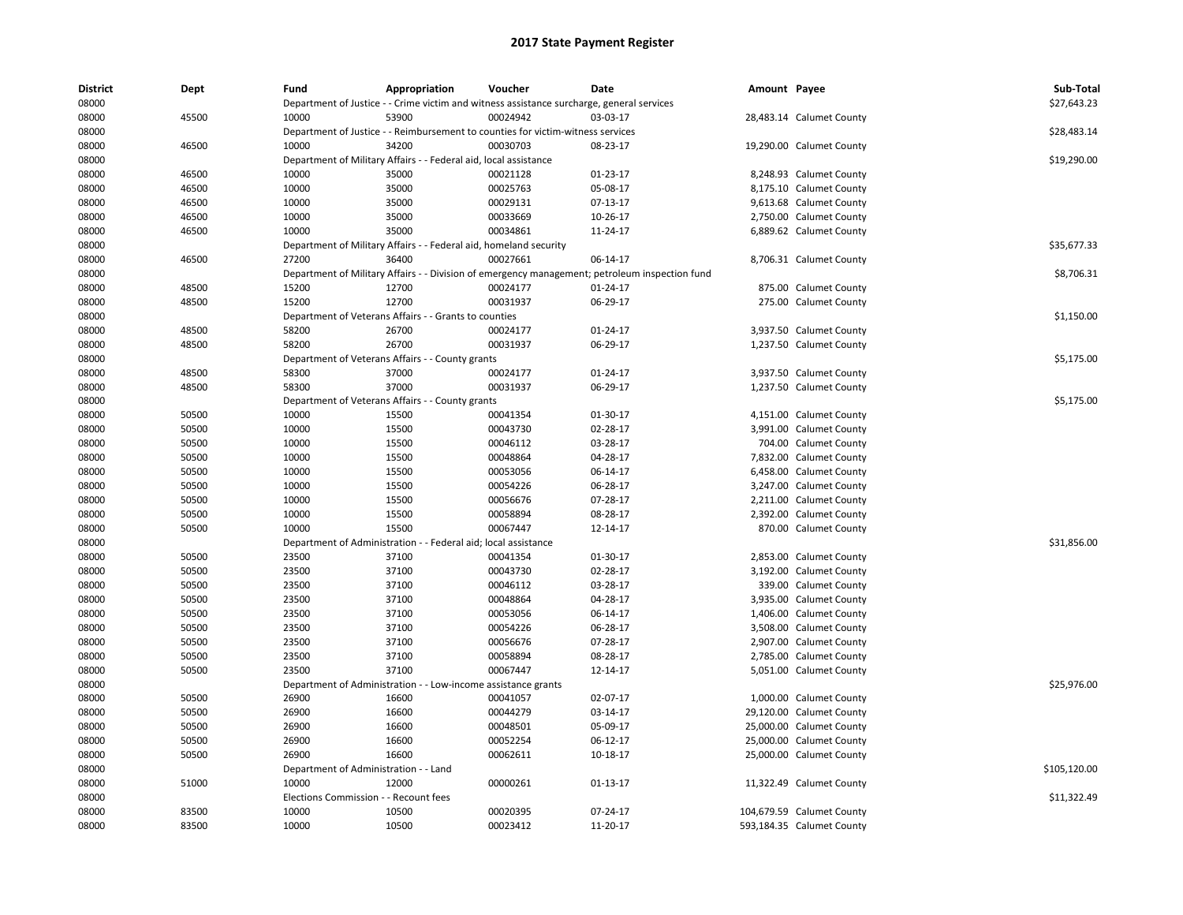| <b>District</b> | Dept           | Fund                                  | Appropriation                                                     | Voucher                                                                                   | Date                                                                                           | Amount Payee |                           | Sub-Total    |
|-----------------|----------------|---------------------------------------|-------------------------------------------------------------------|-------------------------------------------------------------------------------------------|------------------------------------------------------------------------------------------------|--------------|---------------------------|--------------|
| 08000           |                |                                       |                                                                   | Department of Justice - - Crime victim and witness assistance surcharge, general services |                                                                                                |              |                           | \$27,643.23  |
| 08000           | 45500          | 10000                                 | 53900                                                             | 00024942                                                                                  | 03-03-17                                                                                       |              | 28,483.14 Calumet County  |              |
| 08000           |                |                                       |                                                                   | Department of Justice - - Reimbursement to counties for victim-witness services           |                                                                                                |              |                           | \$28,483.14  |
| 08000           | 46500          | 10000                                 | 34200                                                             | 00030703                                                                                  | 08-23-17                                                                                       |              | 19,290.00 Calumet County  |              |
| 08000           |                |                                       | Department of Military Affairs - - Federal aid, local assistance  |                                                                                           |                                                                                                |              |                           | \$19,290.00  |
| 08000           | 46500          | 10000                                 | 35000                                                             | 00021128                                                                                  | 01-23-17                                                                                       |              | 8,248.93 Calumet County   |              |
| 08000           | 46500          | 10000                                 | 35000                                                             | 00025763                                                                                  | 05-08-17                                                                                       |              | 8,175.10 Calumet County   |              |
| 08000           | 46500          | 10000                                 | 35000                                                             | 00029131                                                                                  | 07-13-17                                                                                       |              | 9,613.68 Calumet County   |              |
| 08000           | 46500          | 10000                                 | 35000                                                             | 00033669                                                                                  | 10-26-17                                                                                       |              | 2,750.00 Calumet County   |              |
| 08000           | 46500          | 10000                                 | 35000                                                             | 00034861                                                                                  | 11-24-17                                                                                       |              | 6,889.62 Calumet County   |              |
| 08000           |                |                                       | Department of Military Affairs - - Federal aid, homeland security |                                                                                           |                                                                                                |              |                           | \$35,677.33  |
| 08000           | 46500          | 27200                                 | 36400                                                             | 00027661                                                                                  | 06-14-17                                                                                       |              | 8,706.31 Calumet County   |              |
| 08000           |                |                                       |                                                                   |                                                                                           | Department of Military Affairs - - Division of emergency management; petroleum inspection fund |              |                           | \$8,706.31   |
| 08000           | 48500          | 15200                                 | 12700                                                             | 00024177                                                                                  | $01 - 24 - 17$                                                                                 |              | 875.00 Calumet County     |              |
| 08000           | 48500          | 15200                                 | 12700                                                             | 00031937                                                                                  | 06-29-17                                                                                       |              | 275.00 Calumet County     |              |
| 08000           |                |                                       | Department of Veterans Affairs - - Grants to counties             |                                                                                           |                                                                                                |              |                           | \$1,150.00   |
| 08000           | 48500          | 58200                                 | 26700                                                             | 00024177                                                                                  | $01 - 24 - 17$                                                                                 |              | 3,937.50 Calumet County   |              |
| 08000           | 48500          | 58200                                 | 26700                                                             | 00031937                                                                                  | 06-29-17                                                                                       |              | 1,237.50 Calumet County   |              |
| 08000           |                |                                       | Department of Veterans Affairs - - County grants                  |                                                                                           |                                                                                                |              |                           | \$5,175.00   |
| 08000           | 48500          | 58300                                 | 37000                                                             | 00024177                                                                                  | 01-24-17                                                                                       |              | 3,937.50 Calumet County   |              |
| 08000           | 48500          | 58300                                 | 37000                                                             | 00031937                                                                                  | 06-29-17                                                                                       |              | 1,237.50 Calumet County   |              |
| 08000           |                |                                       | Department of Veterans Affairs - - County grants                  |                                                                                           |                                                                                                |              |                           | \$5,175.00   |
| 08000           | 50500          | 10000                                 | 15500                                                             | 00041354                                                                                  | 01-30-17                                                                                       |              | 4,151.00 Calumet County   |              |
| 08000           | 50500          | 10000                                 | 15500                                                             | 00043730                                                                                  | 02-28-17                                                                                       |              | 3,991.00 Calumet County   |              |
| 08000           | 50500          | 10000                                 | 15500                                                             | 00046112                                                                                  | 03-28-17                                                                                       |              | 704.00 Calumet County     |              |
| 08000           | 50500          | 10000                                 | 15500                                                             | 00048864                                                                                  | 04-28-17                                                                                       |              | 7,832.00 Calumet County   |              |
| 08000           | 50500          | 10000                                 | 15500                                                             | 00053056                                                                                  | 06-14-17                                                                                       |              | 6,458.00 Calumet County   |              |
| 08000           | 50500          | 10000                                 | 15500                                                             | 00054226                                                                                  | 06-28-17                                                                                       |              | 3,247.00 Calumet County   |              |
| 08000           | 50500          | 10000                                 | 15500                                                             | 00056676                                                                                  | 07-28-17                                                                                       |              | 2,211.00 Calumet County   |              |
| 08000           | 50500          | 10000                                 | 15500                                                             | 00058894                                                                                  | 08-28-17                                                                                       |              | 2,392.00 Calumet County   |              |
| 08000           | 50500          | 10000                                 | 15500                                                             | 00067447                                                                                  | 12-14-17                                                                                       |              | 870.00 Calumet County     |              |
| 08000           |                |                                       | Department of Administration - - Federal aid; local assistance    |                                                                                           |                                                                                                |              |                           | \$31,856.00  |
| 08000           | 50500          | 23500                                 | 37100                                                             | 00041354                                                                                  | 01-30-17                                                                                       |              | 2,853.00 Calumet County   |              |
| 08000           | 50500          | 23500                                 | 37100                                                             | 00043730                                                                                  | 02-28-17                                                                                       |              | 3,192.00 Calumet County   |              |
| 08000           | 50500          | 23500                                 | 37100                                                             | 00046112                                                                                  | 03-28-17                                                                                       |              | 339.00 Calumet County     |              |
| 08000           | 50500          | 23500                                 | 37100                                                             | 00048864                                                                                  | 04-28-17                                                                                       |              | 3,935.00 Calumet County   |              |
| 08000           | 50500          | 23500                                 | 37100                                                             | 00053056                                                                                  | 06-14-17                                                                                       |              | 1,406.00 Calumet County   |              |
| 08000           | 50500          | 23500                                 | 37100                                                             | 00054226                                                                                  | 06-28-17                                                                                       |              | 3,508.00 Calumet County   |              |
| 08000           | 50500          | 23500                                 | 37100                                                             | 00056676                                                                                  | 07-28-17                                                                                       |              | 2,907.00 Calumet County   |              |
| 08000           | 50500          | 23500                                 | 37100                                                             | 00058894                                                                                  | 08-28-17                                                                                       |              | 2,785.00 Calumet County   |              |
| 08000           | 50500          | 23500                                 | 37100                                                             | 00067447                                                                                  | 12-14-17                                                                                       |              | 5,051.00 Calumet County   |              |
| 08000           |                |                                       |                                                                   |                                                                                           |                                                                                                |              |                           | \$25,976.00  |
|                 |                | 26900                                 | Department of Administration - - Low-income assistance grants     |                                                                                           | 02-07-17                                                                                       |              |                           |              |
| 08000<br>08000  | 50500<br>50500 | 26900                                 | 16600<br>16600                                                    | 00041057<br>00044279                                                                      | 03-14-17                                                                                       |              | 1,000.00 Calumet County   |              |
|                 |                |                                       |                                                                   |                                                                                           |                                                                                                |              | 29,120.00 Calumet County  |              |
| 08000           | 50500          | 26900                                 | 16600                                                             | 00048501                                                                                  | 05-09-17                                                                                       |              | 25,000.00 Calumet County  |              |
| 08000           | 50500          | 26900                                 | 16600                                                             | 00052254                                                                                  | 06-12-17                                                                                       |              | 25,000.00 Calumet County  |              |
| 08000           | 50500          | 26900                                 | 16600                                                             | 00062611                                                                                  | 10-18-17                                                                                       |              | 25,000.00 Calumet County  |              |
| 08000           |                | Department of Administration - - Land |                                                                   |                                                                                           |                                                                                                |              |                           | \$105,120.00 |
| 08000           | 51000          | 10000                                 | 12000                                                             | 00000261                                                                                  | 01-13-17                                                                                       |              | 11,322.49 Calumet County  |              |
| 08000           |                | Elections Commission - - Recount fees |                                                                   |                                                                                           |                                                                                                |              |                           | \$11,322.49  |
| 08000           | 83500          | 10000                                 | 10500                                                             | 00020395                                                                                  | 07-24-17                                                                                       |              | 104,679.59 Calumet County |              |
| 08000           | 83500          | 10000                                 | 10500                                                             | 00023412                                                                                  | 11-20-17                                                                                       |              | 593,184.35 Calumet County |              |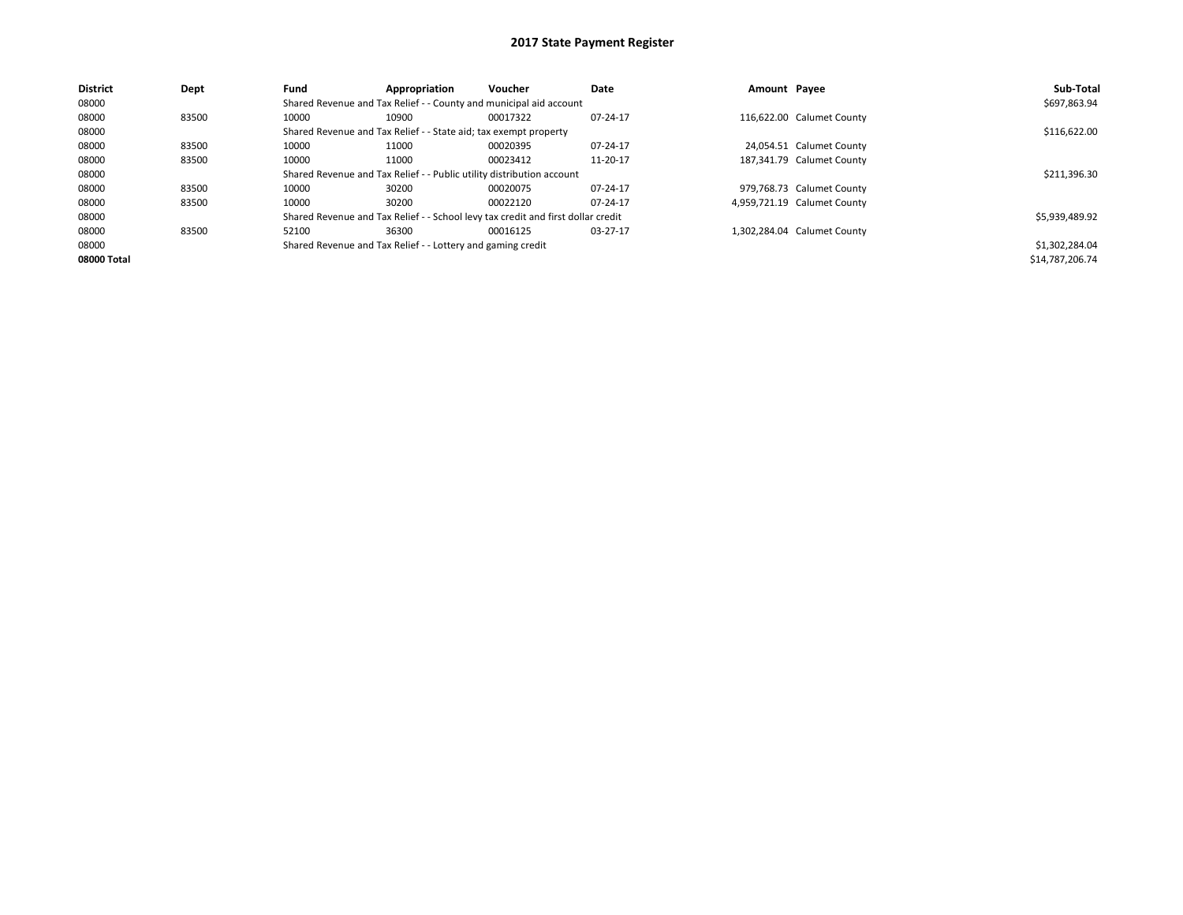| <b>District</b> | Dept  | Fund  | Appropriation                                                         | Voucher                                                                          | Date     | Amount Payee                | Sub-Total       |
|-----------------|-------|-------|-----------------------------------------------------------------------|----------------------------------------------------------------------------------|----------|-----------------------------|-----------------|
| 08000           |       |       |                                                                       | Shared Revenue and Tax Relief - - County and municipal aid account               |          |                             | \$697,863.94    |
| 08000           | 83500 | 10000 | 10900                                                                 | 00017322                                                                         | 07-24-17 | 116,622.00 Calumet County   |                 |
| 08000           |       |       | Shared Revenue and Tax Relief - - State aid; tax exempt property      |                                                                                  |          |                             | \$116,622.00    |
| 08000           | 83500 | 10000 | 11000                                                                 | 00020395                                                                         | 07-24-17 | 24,054.51 Calumet County    |                 |
| 08000           | 83500 | 10000 | 11000                                                                 | 00023412                                                                         | 11-20-17 | 187,341.79 Calumet County   |                 |
| 08000           |       |       | Shared Revenue and Tax Relief - - Public utility distribution account |                                                                                  |          |                             | \$211,396.30    |
| 08000           | 83500 | 10000 | 30200                                                                 | 00020075                                                                         | 07-24-17 | 979,768.73 Calumet County   |                 |
| 08000           | 83500 | 10000 | 30200                                                                 | 00022120                                                                         | 07-24-17 | 4,959,721.19 Calumet County |                 |
| 08000           |       |       |                                                                       | Shared Revenue and Tax Relief - - School levy tax credit and first dollar credit |          |                             | \$5,939,489.92  |
| 08000           | 83500 | 52100 | 36300                                                                 | 00016125                                                                         | 03-27-17 | 1,302,284.04 Calumet County |                 |
| 08000           |       |       | Shared Revenue and Tax Relief - - Lottery and gaming credit           |                                                                                  |          |                             | \$1,302,284.04  |
| 08000 Total     |       |       |                                                                       |                                                                                  |          |                             | \$14,787,206.74 |
|                 |       |       |                                                                       |                                                                                  |          |                             |                 |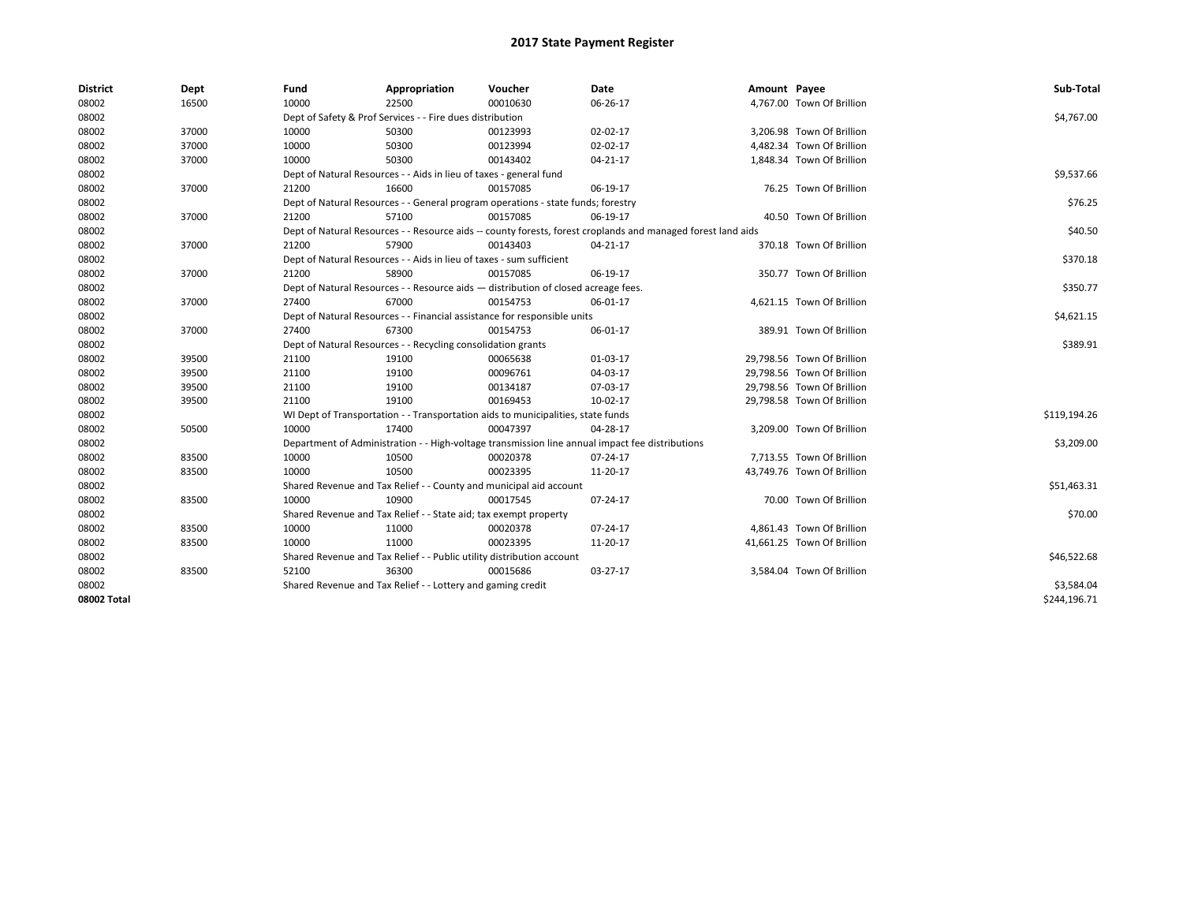| <b>District</b> | Dept  | Fund  | Appropriation                                                         | Voucher                                                                            | Date                                                                                                         | Amount Payee |                            | Sub-Total    |
|-----------------|-------|-------|-----------------------------------------------------------------------|------------------------------------------------------------------------------------|--------------------------------------------------------------------------------------------------------------|--------------|----------------------------|--------------|
| 08002           | 16500 | 10000 | 22500                                                                 | 00010630                                                                           | 06-26-17                                                                                                     |              | 4,767.00 Town Of Brillion  |              |
| 08002           |       |       | Dept of Safety & Prof Services - - Fire dues distribution             |                                                                                    |                                                                                                              |              |                            | \$4,767.00   |
| 08002           | 37000 | 10000 | 50300                                                                 | 00123993                                                                           | 02-02-17                                                                                                     |              | 3,206.98 Town Of Brillion  |              |
| 08002           | 37000 | 10000 | 50300                                                                 | 00123994                                                                           | 02-02-17                                                                                                     |              | 4,482.34 Town Of Brillion  |              |
| 08002           | 37000 | 10000 | 50300                                                                 | 00143402                                                                           | $04 - 21 - 17$                                                                                               |              | 1,848.34 Town Of Brillion  |              |
| 08002           |       |       | Dept of Natural Resources - - Aids in lieu of taxes - general fund    |                                                                                    |                                                                                                              |              |                            | \$9,537.66   |
| 08002           | 37000 | 21200 | 16600                                                                 | 00157085                                                                           | 06-19-17                                                                                                     |              | 76.25 Town Of Brillion     |              |
| 08002           |       |       |                                                                       | Dept of Natural Resources - - General program operations - state funds; forestry   |                                                                                                              |              |                            | \$76.25      |
| 08002           | 37000 | 21200 | 57100                                                                 | 00157085                                                                           | 06-19-17                                                                                                     |              | 40.50 Town Of Brillion     |              |
| 08002           |       |       |                                                                       |                                                                                    | Dept of Natural Resources - - Resource aids -- county forests, forest croplands and managed forest land aids |              |                            | \$40.50      |
| 08002           | 37000 | 21200 | 57900                                                                 | 00143403                                                                           | 04-21-17                                                                                                     |              | 370.18 Town Of Brillion    |              |
| 08002           |       |       | Dept of Natural Resources - - Aids in lieu of taxes - sum sufficient  |                                                                                    |                                                                                                              |              |                            | \$370.18     |
| 08002           | 37000 | 21200 | 58900                                                                 | 00157085                                                                           | 06-19-17                                                                                                     |              | 350.77 Town Of Brillion    |              |
| 08002           |       |       |                                                                       | Dept of Natural Resources - - Resource aids - distribution of closed acreage fees. |                                                                                                              |              |                            | \$350.77     |
| 08002           | 37000 | 27400 | 67000                                                                 | 00154753                                                                           | 06-01-17                                                                                                     |              | 4,621.15 Town Of Brillion  |              |
| 08002           |       |       |                                                                       | Dept of Natural Resources - - Financial assistance for responsible units           |                                                                                                              |              |                            | \$4,621.15   |
| 08002           | 37000 | 27400 | 67300                                                                 | 00154753                                                                           | 06-01-17                                                                                                     |              | 389.91 Town Of Brillion    |              |
| 08002           |       |       | Dept of Natural Resources - - Recycling consolidation grants          |                                                                                    |                                                                                                              |              |                            | \$389.91     |
| 08002           | 39500 | 21100 | 19100                                                                 | 00065638                                                                           | 01-03-17                                                                                                     |              | 29,798.56 Town Of Brillion |              |
| 08002           | 39500 | 21100 | 19100                                                                 | 00096761                                                                           | 04-03-17                                                                                                     |              | 29,798.56 Town Of Brillion |              |
| 08002           | 39500 | 21100 | 19100                                                                 | 00134187                                                                           | 07-03-17                                                                                                     |              | 29,798.56 Town Of Brillion |              |
| 08002           | 39500 | 21100 | 19100                                                                 | 00169453                                                                           | 10-02-17                                                                                                     |              | 29,798.58 Town Of Brillion |              |
| 08002           |       |       |                                                                       | WI Dept of Transportation - - Transportation aids to municipalities, state funds   |                                                                                                              |              |                            | \$119,194.26 |
| 08002           | 50500 | 10000 | 17400                                                                 | 00047397                                                                           | 04-28-17                                                                                                     |              | 3,209.00 Town Of Brillion  |              |
| 08002           |       |       |                                                                       |                                                                                    | Department of Administration - - High-voltage transmission line annual impact fee distributions              |              |                            | \$3,209.00   |
| 08002           | 83500 | 10000 | 10500                                                                 | 00020378                                                                           | 07-24-17                                                                                                     |              | 7,713.55 Town Of Brillion  |              |
| 08002           | 83500 | 10000 | 10500                                                                 | 00023395                                                                           | 11-20-17                                                                                                     |              | 43,749.76 Town Of Brillion |              |
| 08002           |       |       |                                                                       | Shared Revenue and Tax Relief - - County and municipal aid account                 |                                                                                                              |              |                            | \$51,463.31  |
| 08002           | 83500 | 10000 | 10900                                                                 | 00017545                                                                           | 07-24-17                                                                                                     |              | 70.00 Town Of Brillion     |              |
| 08002           |       |       | Shared Revenue and Tax Relief - - State aid; tax exempt property      |                                                                                    |                                                                                                              |              |                            | \$70.00      |
| 08002           | 83500 | 10000 | 11000                                                                 | 00020378                                                                           | 07-24-17                                                                                                     |              | 4,861.43 Town Of Brillion  |              |
| 08002           | 83500 | 10000 | 11000                                                                 | 00023395                                                                           | 11-20-17                                                                                                     |              | 41,661.25 Town Of Brillion |              |
| 08002           |       |       | Shared Revenue and Tax Relief - - Public utility distribution account |                                                                                    |                                                                                                              |              |                            | \$46,522.68  |
| 08002           | 83500 | 52100 | 36300                                                                 | 00015686                                                                           | 03-27-17                                                                                                     |              | 3,584.04 Town Of Brillion  |              |
| 08002           |       |       | Shared Revenue and Tax Relief - - Lottery and gaming credit           |                                                                                    |                                                                                                              |              |                            | \$3,584.04   |
| 08002 Total     |       |       |                                                                       |                                                                                    |                                                                                                              |              |                            | \$244,196.71 |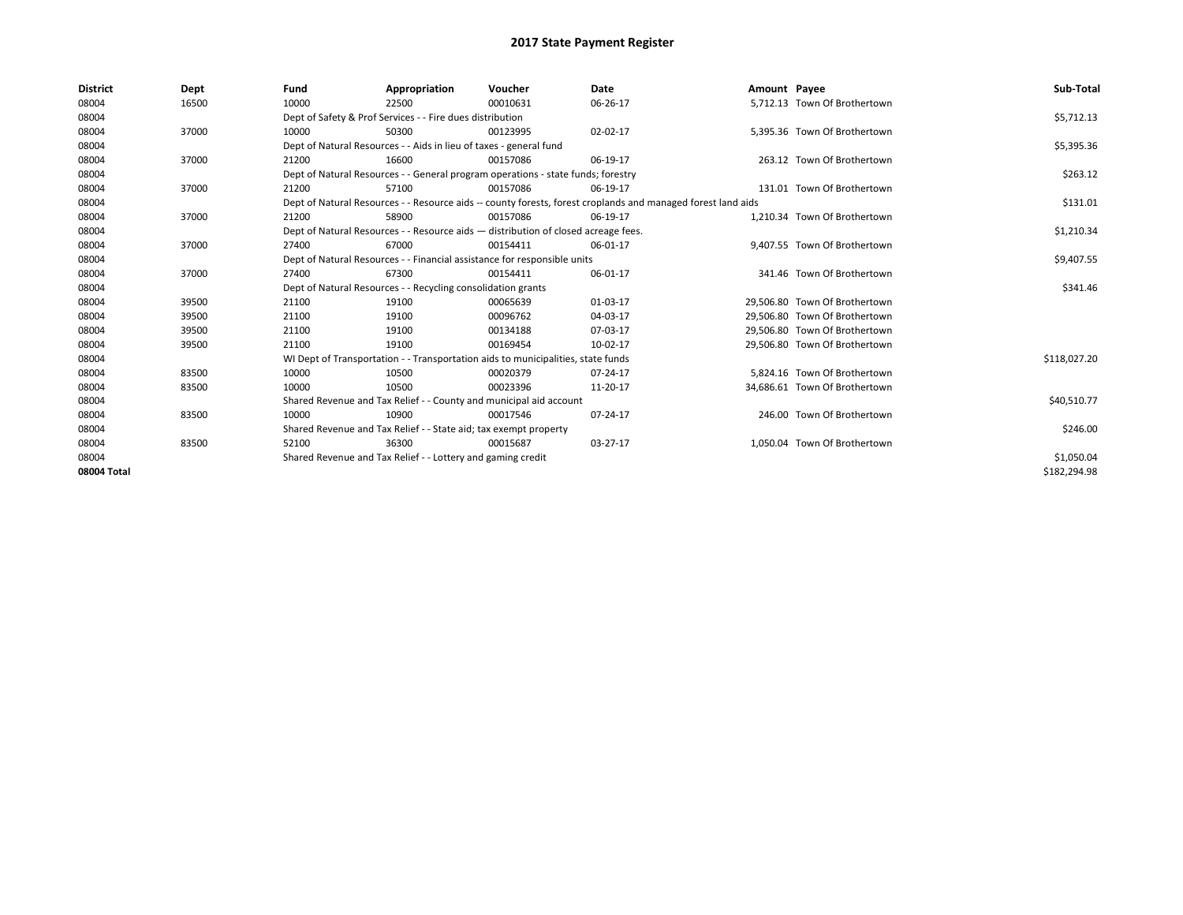| <b>District</b> | Dept  | Fund                                                             | Appropriation                                                                      | Voucher  | Date                                                                                                         | Amount Payee |                               | Sub-Total    |
|-----------------|-------|------------------------------------------------------------------|------------------------------------------------------------------------------------|----------|--------------------------------------------------------------------------------------------------------------|--------------|-------------------------------|--------------|
| 08004           | 16500 | 10000                                                            | 22500                                                                              | 00010631 | 06-26-17                                                                                                     |              | 5,712.13 Town Of Brothertown  |              |
| 08004           |       |                                                                  | Dept of Safety & Prof Services - - Fire dues distribution                          |          |                                                                                                              |              |                               | \$5,712.13   |
| 08004           | 37000 | 10000                                                            | 50300                                                                              | 00123995 | 02-02-17                                                                                                     |              | 5,395.36 Town Of Brothertown  |              |
| 08004           |       |                                                                  | Dept of Natural Resources - - Aids in lieu of taxes - general fund                 |          |                                                                                                              |              |                               | \$5,395.36   |
| 08004           | 37000 | 21200                                                            | 16600                                                                              | 00157086 | 06-19-17                                                                                                     |              | 263.12 Town Of Brothertown    |              |
| 08004           |       |                                                                  | Dept of Natural Resources - - General program operations - state funds; forestry   |          |                                                                                                              |              |                               | \$263.12     |
| 08004           | 37000 | 21200                                                            | 57100                                                                              | 00157086 | 06-19-17                                                                                                     |              | 131.01 Town Of Brothertown    |              |
| 08004           |       |                                                                  |                                                                                    |          | Dept of Natural Resources - - Resource aids -- county forests, forest croplands and managed forest land aids |              |                               | \$131.01     |
| 08004           | 37000 | 21200                                                            | 58900                                                                              | 00157086 | 06-19-17                                                                                                     |              | 1,210.34 Town Of Brothertown  |              |
| 08004           |       |                                                                  | Dept of Natural Resources - - Resource aids - distribution of closed acreage fees. |          |                                                                                                              |              |                               | \$1,210.34   |
| 08004           | 37000 | 27400                                                            | 67000                                                                              | 00154411 | 06-01-17                                                                                                     |              | 9,407.55 Town Of Brothertown  |              |
| 08004           |       |                                                                  | Dept of Natural Resources - - Financial assistance for responsible units           |          |                                                                                                              |              |                               | \$9,407.55   |
| 08004           | 37000 | 27400                                                            | 67300                                                                              | 00154411 | 06-01-17                                                                                                     |              | 341.46 Town Of Brothertown    |              |
| 08004           |       |                                                                  | Dept of Natural Resources - - Recycling consolidation grants                       |          |                                                                                                              |              |                               | \$341.46     |
| 08004           | 39500 | 21100                                                            | 19100                                                                              | 00065639 | 01-03-17                                                                                                     |              | 29.506.80 Town Of Brothertown |              |
| 08004           | 39500 | 21100                                                            | 19100                                                                              | 00096762 | 04-03-17                                                                                                     |              | 29,506.80 Town Of Brothertown |              |
| 08004           | 39500 | 21100                                                            | 19100                                                                              | 00134188 | 07-03-17                                                                                                     |              | 29.506.80 Town Of Brothertown |              |
| 08004           | 39500 | 21100                                                            | 19100                                                                              | 00169454 | 10-02-17                                                                                                     |              | 29,506.80 Town Of Brothertown |              |
| 08004           |       |                                                                  | WI Dept of Transportation - - Transportation aids to municipalities, state funds   |          |                                                                                                              |              |                               | \$118,027.20 |
| 08004           | 83500 | 10000                                                            | 10500                                                                              | 00020379 | 07-24-17                                                                                                     |              | 5,824.16 Town Of Brothertown  |              |
| 08004           | 83500 | 10000                                                            | 10500                                                                              | 00023396 | 11-20-17                                                                                                     |              | 34,686.61 Town Of Brothertown |              |
| 08004           |       |                                                                  | Shared Revenue and Tax Relief - - County and municipal aid account                 |          |                                                                                                              |              |                               | \$40,510.77  |
| 08004           | 83500 | 10000                                                            | 10900                                                                              | 00017546 | 07-24-17                                                                                                     |              | 246.00 Town Of Brothertown    |              |
| 08004           |       | Shared Revenue and Tax Relief - - State aid; tax exempt property |                                                                                    | \$246.00 |                                                                                                              |              |                               |              |
| 08004           | 83500 | 52100                                                            | 36300                                                                              | 00015687 | 03-27-17                                                                                                     |              | 1.050.04 Town Of Brothertown  |              |
| 08004           |       |                                                                  | Shared Revenue and Tax Relief - - Lottery and gaming credit                        |          |                                                                                                              |              |                               | \$1,050.04   |
| 08004 Total     |       |                                                                  |                                                                                    |          |                                                                                                              |              |                               | \$182,294.98 |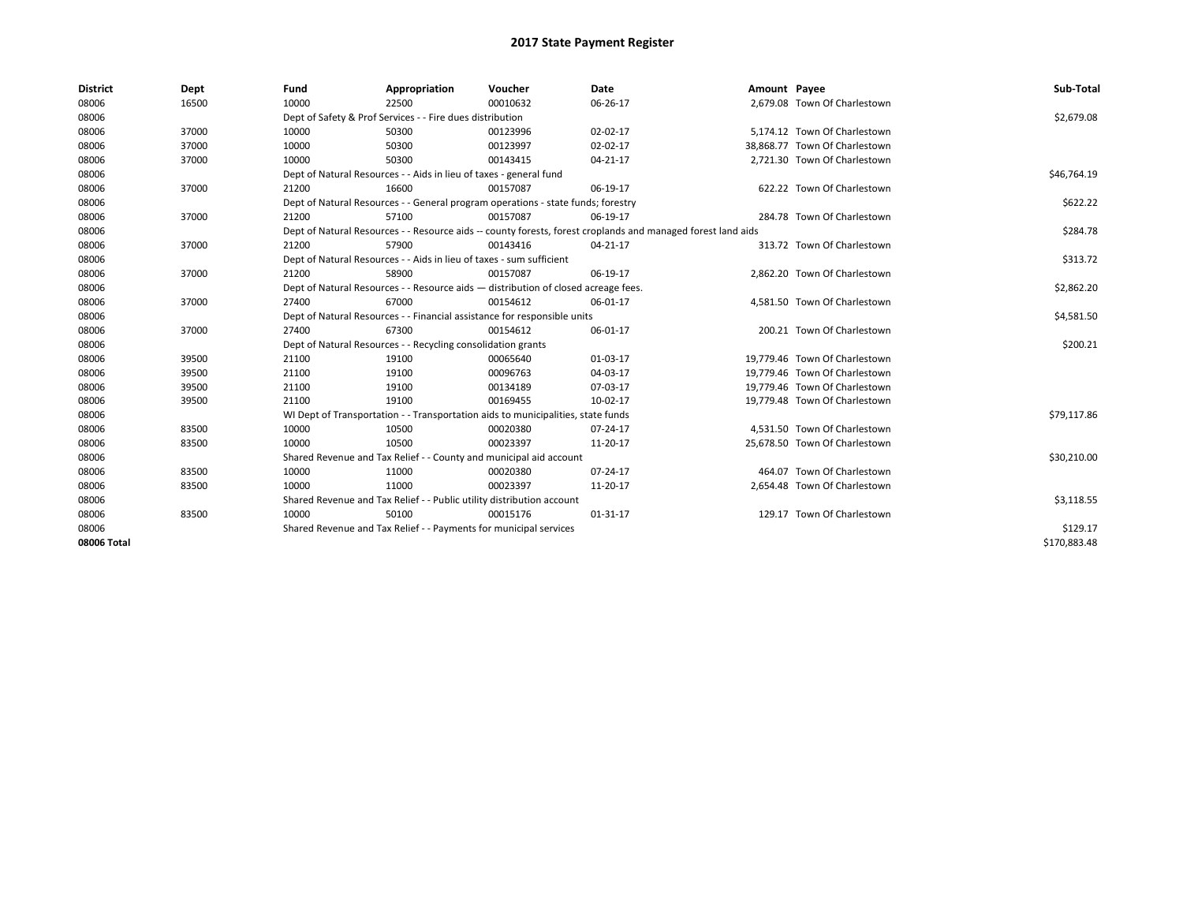| <b>District</b> | Dept  | Fund  | Appropriation                                                                      | Voucher  | Date                                                                                                         | Amount Payee |                               | Sub-Total    |
|-----------------|-------|-------|------------------------------------------------------------------------------------|----------|--------------------------------------------------------------------------------------------------------------|--------------|-------------------------------|--------------|
| 08006           | 16500 | 10000 | 22500                                                                              | 00010632 | 06-26-17                                                                                                     |              | 2,679.08 Town Of Charlestown  |              |
| 08006           |       |       | Dept of Safety & Prof Services - - Fire dues distribution                          |          |                                                                                                              |              |                               | \$2,679.08   |
| 08006           | 37000 | 10000 | 50300                                                                              | 00123996 | 02-02-17                                                                                                     |              | 5,174.12 Town Of Charlestown  |              |
| 08006           | 37000 | 10000 | 50300                                                                              | 00123997 | 02-02-17                                                                                                     |              | 38.868.77 Town Of Charlestown |              |
| 08006           | 37000 | 10000 | 50300                                                                              | 00143415 | $04 - 21 - 17$                                                                                               |              | 2,721.30 Town Of Charlestown  |              |
| 08006           |       |       | Dept of Natural Resources - - Aids in lieu of taxes - general fund                 |          | \$46,764.19                                                                                                  |              |                               |              |
| 08006           | 37000 | 21200 | 16600                                                                              | 00157087 | 06-19-17                                                                                                     |              | 622.22 Town Of Charlestown    |              |
| 08006           |       |       | Dept of Natural Resources - - General program operations - state funds; forestry   |          |                                                                                                              |              |                               | \$622.22     |
| 08006           | 37000 | 21200 | 57100                                                                              | 00157087 | 06-19-17                                                                                                     |              | 284.78 Town Of Charlestown    |              |
| 08006           |       |       |                                                                                    |          | Dept of Natural Resources - - Resource aids -- county forests, forest croplands and managed forest land aids |              |                               | \$284.78     |
| 08006           | 37000 | 21200 | 57900                                                                              | 00143416 | 04-21-17                                                                                                     |              | 313.72 Town Of Charlestown    |              |
| 08006           |       |       | Dept of Natural Resources - - Aids in lieu of taxes - sum sufficient               |          |                                                                                                              |              |                               | \$313.72     |
| 08006           | 37000 | 21200 | 58900                                                                              | 00157087 | 06-19-17                                                                                                     |              | 2,862.20 Town Of Charlestown  |              |
| 08006           |       |       | Dept of Natural Resources - - Resource aids - distribution of closed acreage fees. |          |                                                                                                              |              |                               | \$2,862.20   |
| 08006           | 37000 | 27400 | 67000                                                                              | 00154612 | 06-01-17                                                                                                     |              | 4,581.50 Town Of Charlestown  |              |
| 08006           |       |       | Dept of Natural Resources - - Financial assistance for responsible units           |          |                                                                                                              |              |                               | \$4,581.50   |
| 08006           | 37000 | 27400 | 67300                                                                              | 00154612 | 06-01-17                                                                                                     |              | 200.21 Town Of Charlestown    |              |
| 08006           |       |       | Dept of Natural Resources - - Recycling consolidation grants                       |          |                                                                                                              |              |                               | \$200.21     |
| 08006           | 39500 | 21100 | 19100                                                                              | 00065640 | 01-03-17                                                                                                     |              | 19,779.46 Town Of Charlestown |              |
| 08006           | 39500 | 21100 | 19100                                                                              | 00096763 | 04-03-17                                                                                                     |              | 19.779.46 Town Of Charlestown |              |
| 08006           | 39500 | 21100 | 19100                                                                              | 00134189 | 07-03-17                                                                                                     |              | 19,779.46 Town Of Charlestown |              |
| 08006           | 39500 | 21100 | 19100                                                                              | 00169455 | 10-02-17                                                                                                     |              | 19,779.48 Town Of Charlestown |              |
| 08006           |       |       | WI Dept of Transportation - - Transportation aids to municipalities, state funds   |          |                                                                                                              |              |                               | \$79,117.86  |
| 08006           | 83500 | 10000 | 10500                                                                              | 00020380 | $07 - 24 - 17$                                                                                               |              | 4.531.50 Town Of Charlestown  |              |
| 08006           | 83500 | 10000 | 10500                                                                              | 00023397 | 11-20-17                                                                                                     |              | 25,678.50 Town Of Charlestown |              |
| 08006           |       |       | Shared Revenue and Tax Relief - - County and municipal aid account                 |          |                                                                                                              |              |                               | \$30,210.00  |
| 08006           | 83500 | 10000 | 11000                                                                              | 00020380 | 07-24-17                                                                                                     |              | 464.07 Town Of Charlestown    |              |
| 08006           | 83500 | 10000 | 11000                                                                              | 00023397 | 11-20-17                                                                                                     |              | 2,654.48 Town Of Charlestown  |              |
| 08006           |       |       | Shared Revenue and Tax Relief - - Public utility distribution account              |          |                                                                                                              |              |                               | \$3,118.55   |
| 08006           | 83500 | 10000 | 50100                                                                              | 00015176 | $01 - 31 - 17$                                                                                               |              | 129.17 Town Of Charlestown    |              |
| 08006           |       |       | Shared Revenue and Tax Relief - - Payments for municipal services                  |          | \$129.17                                                                                                     |              |                               |              |
| 08006 Total     |       |       |                                                                                    |          |                                                                                                              |              |                               | \$170,883.48 |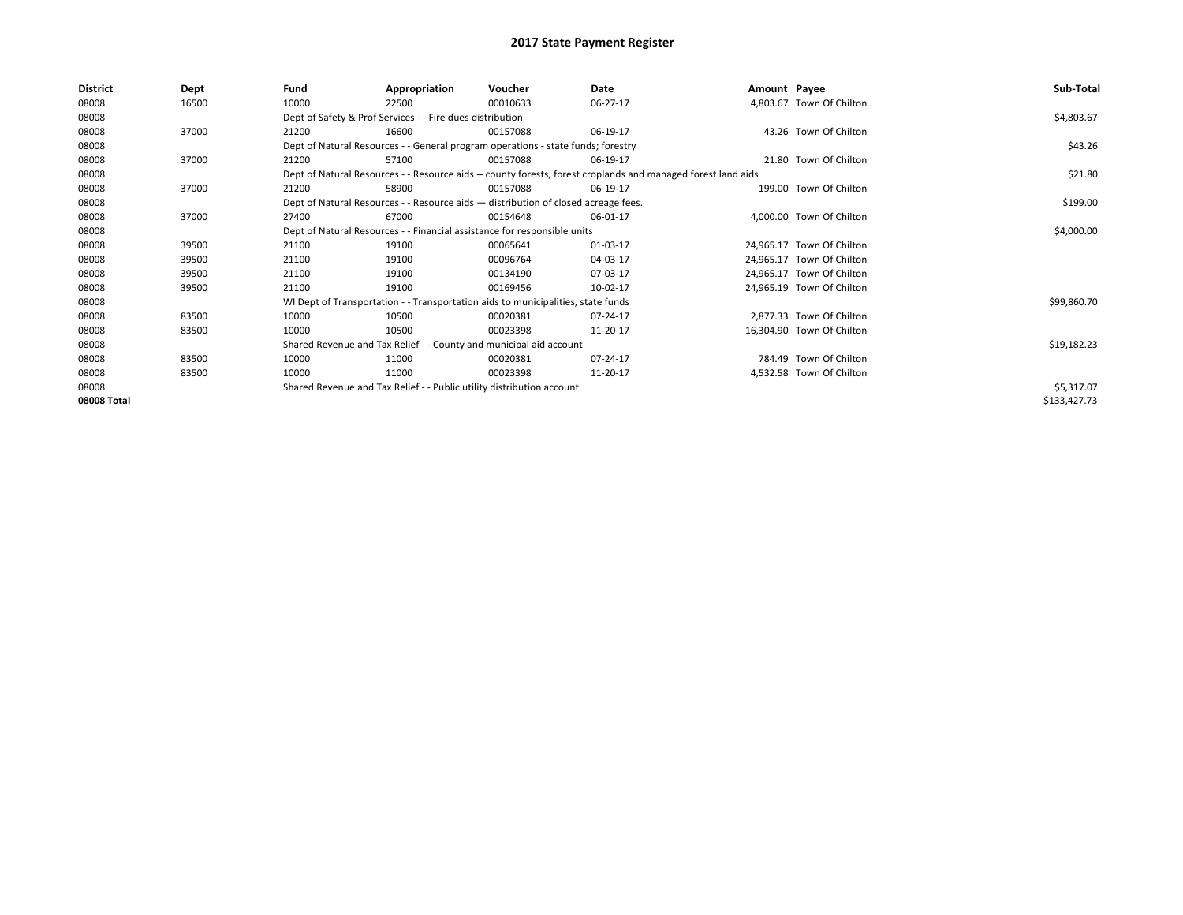| District    | Dept  | Fund  | Appropriation                                                                      | Voucher  | Date                                                                                                         | Amount Payee |                           | Sub-Total    |
|-------------|-------|-------|------------------------------------------------------------------------------------|----------|--------------------------------------------------------------------------------------------------------------|--------------|---------------------------|--------------|
| 08008       | 16500 | 10000 | 22500                                                                              | 00010633 | 06-27-17                                                                                                     |              | 4,803.67 Town Of Chilton  |              |
| 08008       |       |       | Dept of Safety & Prof Services - - Fire dues distribution                          |          |                                                                                                              |              |                           | \$4,803.67   |
| 08008       | 37000 | 21200 | 16600                                                                              | 00157088 | 06-19-17                                                                                                     |              | 43.26 Town Of Chilton     |              |
| 08008       |       |       | Dept of Natural Resources - - General program operations - state funds; forestry   |          |                                                                                                              |              |                           | \$43.26      |
| 08008       | 37000 | 21200 | 57100                                                                              | 00157088 | 06-19-17                                                                                                     |              | 21.80 Town Of Chilton     |              |
| 08008       |       |       |                                                                                    |          | Dept of Natural Resources - - Resource aids -- county forests, forest croplands and managed forest land aids |              |                           | \$21.80      |
| 08008       | 37000 | 21200 | 58900                                                                              | 00157088 | 06-19-17                                                                                                     |              | 199.00 Town Of Chilton    |              |
| 08008       |       |       | Dept of Natural Resources - - Resource aids - distribution of closed acreage fees. |          |                                                                                                              |              |                           | \$199.00     |
| 08008       | 37000 | 27400 | 67000                                                                              | 00154648 | 06-01-17                                                                                                     |              | 4,000.00 Town Of Chilton  |              |
| 08008       |       |       | Dept of Natural Resources - - Financial assistance for responsible units           |          | \$4,000.00                                                                                                   |              |                           |              |
| 08008       | 39500 | 21100 | 19100                                                                              | 00065641 | 01-03-17                                                                                                     |              | 24,965.17 Town Of Chilton |              |
| 08008       | 39500 | 21100 | 19100                                                                              | 00096764 | 04-03-17                                                                                                     |              | 24,965.17 Town Of Chilton |              |
| 08008       | 39500 | 21100 | 19100                                                                              | 00134190 | 07-03-17                                                                                                     |              | 24,965.17 Town Of Chilton |              |
| 08008       | 39500 | 21100 | 19100                                                                              | 00169456 | 10-02-17                                                                                                     |              | 24,965.19 Town Of Chilton |              |
| 08008       |       |       | WI Dept of Transportation - - Transportation aids to municipalities, state funds   |          |                                                                                                              |              |                           | \$99,860.70  |
| 08008       | 83500 | 10000 | 10500                                                                              | 00020381 | 07-24-17                                                                                                     |              | 2,877.33 Town Of Chilton  |              |
| 08008       | 83500 | 10000 | 10500                                                                              | 00023398 | 11-20-17                                                                                                     |              | 16,304.90 Town Of Chilton |              |
| 08008       |       |       | Shared Revenue and Tax Relief - - County and municipal aid account                 |          |                                                                                                              |              |                           | \$19,182.23  |
| 08008       | 83500 | 10000 | 11000                                                                              | 00020381 | 07-24-17                                                                                                     |              | 784.49 Town Of Chilton    |              |
| 08008       | 83500 | 10000 | 11000                                                                              | 00023398 | 11-20-17                                                                                                     |              | 4,532.58 Town Of Chilton  |              |
| 08008       |       |       | Shared Revenue and Tax Relief - - Public utility distribution account              |          |                                                                                                              |              |                           | \$5,317.07   |
| 08008 Total |       |       |                                                                                    |          |                                                                                                              |              |                           | \$133,427.73 |
|             |       |       |                                                                                    |          |                                                                                                              |              |                           |              |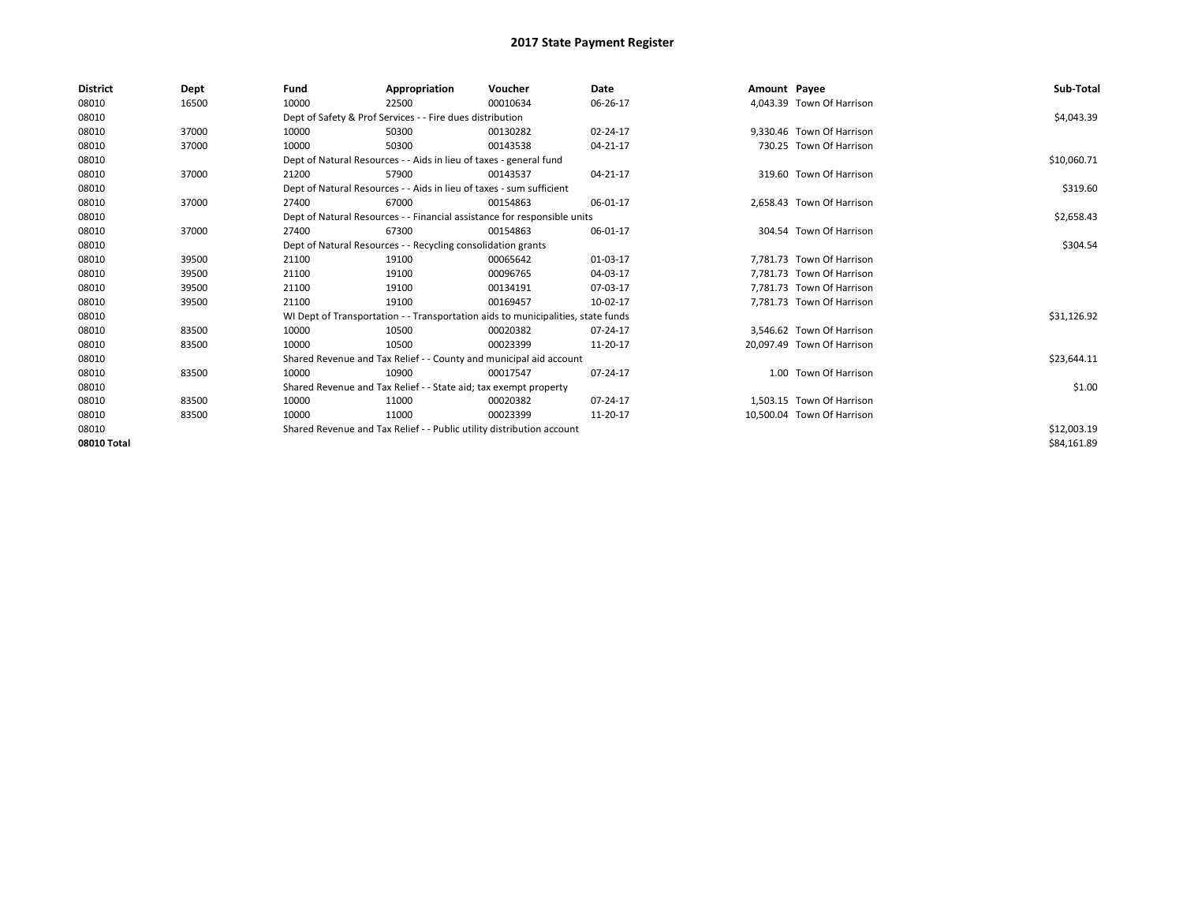| <b>District</b> | Dept  | Fund  | Appropriation                                                                    | Voucher  | Date     | Amount Payee |                            | Sub-Total   |
|-----------------|-------|-------|----------------------------------------------------------------------------------|----------|----------|--------------|----------------------------|-------------|
| 08010           | 16500 | 10000 | 22500                                                                            | 00010634 | 06-26-17 |              | 4,043.39 Town Of Harrison  |             |
| 08010           |       |       | Dept of Safety & Prof Services - - Fire dues distribution                        |          |          |              |                            | \$4,043.39  |
| 08010           | 37000 | 10000 | 50300                                                                            | 00130282 | 02-24-17 |              | 9,330.46 Town Of Harrison  |             |
| 08010           | 37000 | 10000 | 50300                                                                            | 00143538 | 04-21-17 |              | 730.25 Town Of Harrison    |             |
| 08010           |       |       | Dept of Natural Resources - - Aids in lieu of taxes - general fund               |          |          |              |                            | \$10,060.71 |
| 08010           | 37000 | 21200 | 57900                                                                            | 00143537 | 04-21-17 |              | 319.60 Town Of Harrison    |             |
| 08010           |       |       | Dept of Natural Resources - - Aids in lieu of taxes - sum sufficient             |          |          |              |                            | \$319.60    |
| 08010           | 37000 | 27400 | 67000                                                                            | 00154863 | 06-01-17 |              | 2,658.43 Town Of Harrison  |             |
| 08010           |       |       | Dept of Natural Resources - - Financial assistance for responsible units         |          |          |              |                            | \$2,658.43  |
| 08010           | 37000 | 27400 | 67300                                                                            | 00154863 | 06-01-17 |              | 304.54 Town Of Harrison    |             |
| 08010           |       |       | Dept of Natural Resources - - Recycling consolidation grants                     |          |          |              |                            | \$304.54    |
| 08010           | 39500 | 21100 | 19100                                                                            | 00065642 | 01-03-17 |              | 7.781.73 Town Of Harrison  |             |
| 08010           | 39500 | 21100 | 19100                                                                            | 00096765 | 04-03-17 |              | 7.781.73 Town Of Harrison  |             |
| 08010           | 39500 | 21100 | 19100                                                                            | 00134191 | 07-03-17 |              | 7.781.73 Town Of Harrison  |             |
| 08010           | 39500 | 21100 | 19100                                                                            | 00169457 | 10-02-17 |              | 7,781.73 Town Of Harrison  |             |
| 08010           |       |       | WI Dept of Transportation - - Transportation aids to municipalities, state funds |          |          |              |                            | \$31,126.92 |
| 08010           | 83500 | 10000 | 10500                                                                            | 00020382 | 07-24-17 |              | 3,546.62 Town Of Harrison  |             |
| 08010           | 83500 | 10000 | 10500                                                                            | 00023399 | 11-20-17 |              | 20.097.49 Town Of Harrison |             |
| 08010           |       |       | Shared Revenue and Tax Relief - - County and municipal aid account               |          |          |              |                            | \$23,644.11 |
| 08010           | 83500 | 10000 | 10900                                                                            | 00017547 | 07-24-17 |              | 1.00 Town Of Harrison      |             |
| 08010           |       |       | Shared Revenue and Tax Relief - - State aid; tax exempt property                 |          |          |              |                            | \$1.00      |
| 08010           | 83500 | 10000 | 11000                                                                            | 00020382 | 07-24-17 |              | 1,503.15 Town Of Harrison  |             |
| 08010           | 83500 | 10000 | 11000                                                                            | 00023399 | 11-20-17 |              | 10.500.04 Town Of Harrison |             |
| 08010           |       |       | Shared Revenue and Tax Relief - - Public utility distribution account            |          |          |              |                            | \$12,003.19 |
| 08010 Total     |       |       |                                                                                  |          |          |              |                            | \$84,161.89 |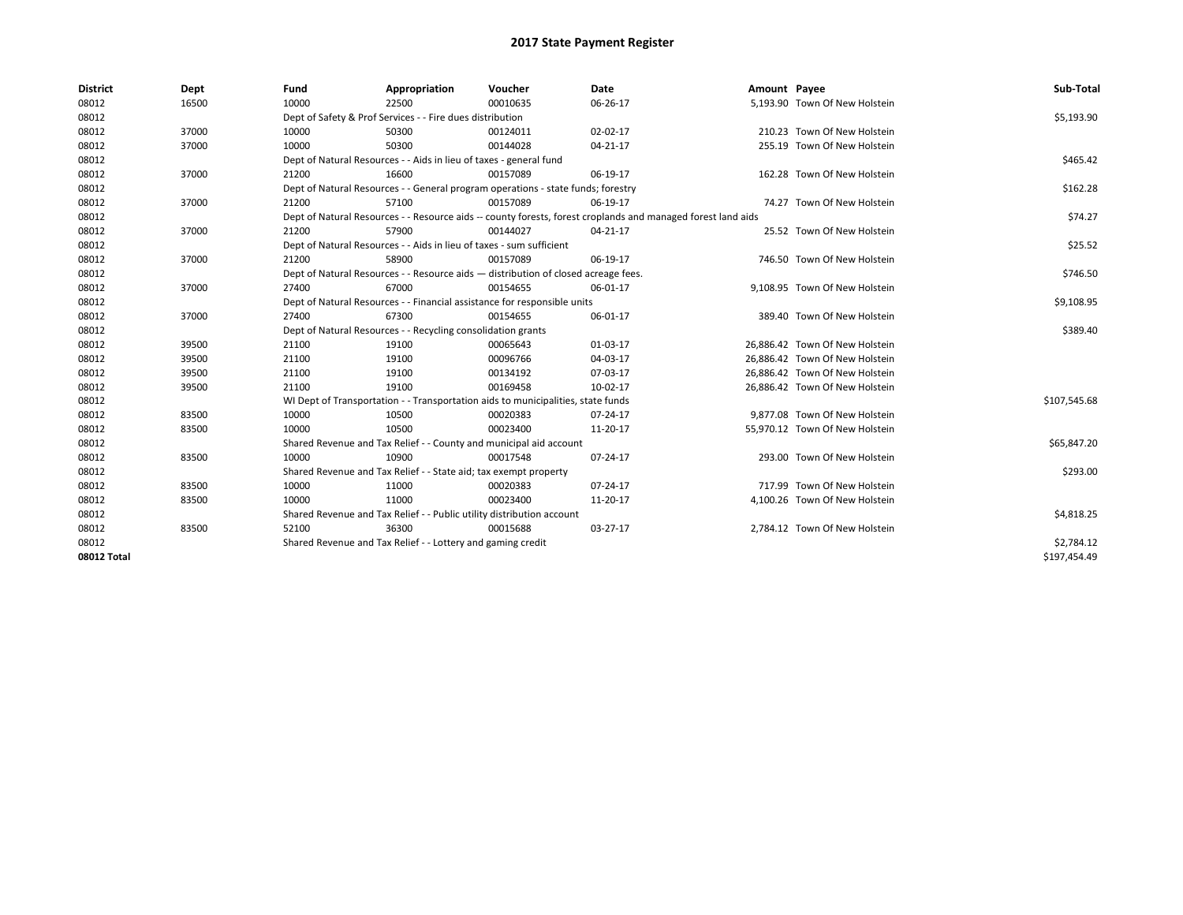| <b>District</b> | Dept  | Fund  | Appropriation                                                                      | Voucher  | Date                                                                                                         | Amount Payee |                                | Sub-Total    |
|-----------------|-------|-------|------------------------------------------------------------------------------------|----------|--------------------------------------------------------------------------------------------------------------|--------------|--------------------------------|--------------|
| 08012           | 16500 | 10000 | 22500                                                                              | 00010635 | 06-26-17                                                                                                     |              | 5,193.90 Town Of New Holstein  |              |
| 08012           |       |       | Dept of Safety & Prof Services - - Fire dues distribution                          |          |                                                                                                              |              |                                | \$5,193.90   |
| 08012           | 37000 | 10000 | 50300                                                                              | 00124011 | 02-02-17                                                                                                     |              | 210.23 Town Of New Holstein    |              |
| 08012           | 37000 | 10000 | 50300                                                                              | 00144028 | 04-21-17                                                                                                     |              | 255.19 Town Of New Holstein    |              |
| 08012           |       |       | Dept of Natural Resources - - Aids in lieu of taxes - general fund                 |          |                                                                                                              |              |                                | \$465.42     |
| 08012           | 37000 | 21200 | 16600                                                                              | 00157089 | 06-19-17                                                                                                     |              | 162.28 Town Of New Holstein    |              |
| 08012           |       |       | Dept of Natural Resources - - General program operations - state funds; forestry   |          |                                                                                                              |              |                                | \$162.28     |
| 08012           | 37000 | 21200 | 57100                                                                              | 00157089 | 06-19-17                                                                                                     |              | 74.27 Town Of New Holstein     |              |
| 08012           |       |       |                                                                                    |          | Dept of Natural Resources - - Resource aids -- county forests, forest croplands and managed forest land aids |              |                                | \$74.27      |
| 08012           | 37000 | 21200 | 57900                                                                              | 00144027 | 04-21-17                                                                                                     |              | 25.52 Town Of New Holstein     |              |
| 08012           |       |       | Dept of Natural Resources - - Aids in lieu of taxes - sum sufficient               |          |                                                                                                              |              |                                | \$25.52      |
| 08012           | 37000 | 21200 | 58900                                                                              | 00157089 | 06-19-17                                                                                                     |              | 746.50 Town Of New Holstein    |              |
| 08012           |       |       | Dept of Natural Resources - - Resource aids - distribution of closed acreage fees. |          |                                                                                                              |              |                                | \$746.50     |
| 08012           | 37000 | 27400 | 67000                                                                              | 00154655 | 06-01-17                                                                                                     |              | 9,108.95 Town Of New Holstein  |              |
| 08012           |       |       | Dept of Natural Resources - - Financial assistance for responsible units           |          |                                                                                                              |              |                                | \$9,108.95   |
| 08012           | 37000 | 27400 | 67300                                                                              | 00154655 | 06-01-17                                                                                                     |              | 389.40 Town Of New Holstein    |              |
| 08012           |       |       | Dept of Natural Resources - - Recycling consolidation grants                       |          |                                                                                                              |              |                                | \$389.40     |
| 08012           | 39500 | 21100 | 19100                                                                              | 00065643 | 01-03-17                                                                                                     |              | 26,886.42 Town Of New Holstein |              |
| 08012           | 39500 | 21100 | 19100                                                                              | 00096766 | 04-03-17                                                                                                     |              | 26.886.42 Town Of New Holstein |              |
| 08012           | 39500 | 21100 | 19100                                                                              | 00134192 | 07-03-17                                                                                                     |              | 26.886.42 Town Of New Holstein |              |
| 08012           | 39500 | 21100 | 19100                                                                              | 00169458 | 10-02-17                                                                                                     |              | 26,886.42 Town Of New Holstein |              |
| 08012           |       |       | WI Dept of Transportation - - Transportation aids to municipalities, state funds   |          |                                                                                                              |              |                                | \$107,545.68 |
| 08012           | 83500 | 10000 | 10500                                                                              | 00020383 | 07-24-17                                                                                                     |              | 9,877.08 Town Of New Holstein  |              |
| 08012           | 83500 | 10000 | 10500                                                                              | 00023400 | 11-20-17                                                                                                     |              | 55,970.12 Town Of New Holstein |              |
| 08012           |       |       | Shared Revenue and Tax Relief - - County and municipal aid account                 |          |                                                                                                              |              |                                | \$65,847.20  |
| 08012           | 83500 | 10000 | 10900                                                                              | 00017548 | 07-24-17                                                                                                     |              | 293.00 Town Of New Holstein    |              |
| 08012           |       |       | Shared Revenue and Tax Relief - - State aid; tax exempt property                   |          |                                                                                                              |              |                                | \$293.00     |
| 08012           | 83500 | 10000 | 11000                                                                              | 00020383 | 07-24-17                                                                                                     |              | 717.99 Town Of New Holstein    |              |
| 08012           | 83500 | 10000 | 11000                                                                              | 00023400 | 11-20-17                                                                                                     |              | 4,100.26 Town Of New Holstein  |              |
| 08012           |       |       | Shared Revenue and Tax Relief - - Public utility distribution account              |          |                                                                                                              |              |                                | \$4,818.25   |
| 08012           | 83500 | 52100 | 36300                                                                              | 00015688 | 03-27-17                                                                                                     |              | 2,784.12 Town Of New Holstein  |              |
| 08012           |       |       | Shared Revenue and Tax Relief - - Lottery and gaming credit                        |          |                                                                                                              |              |                                | \$2,784.12   |
| 08012 Total     |       |       |                                                                                    |          |                                                                                                              |              |                                | \$197,454.49 |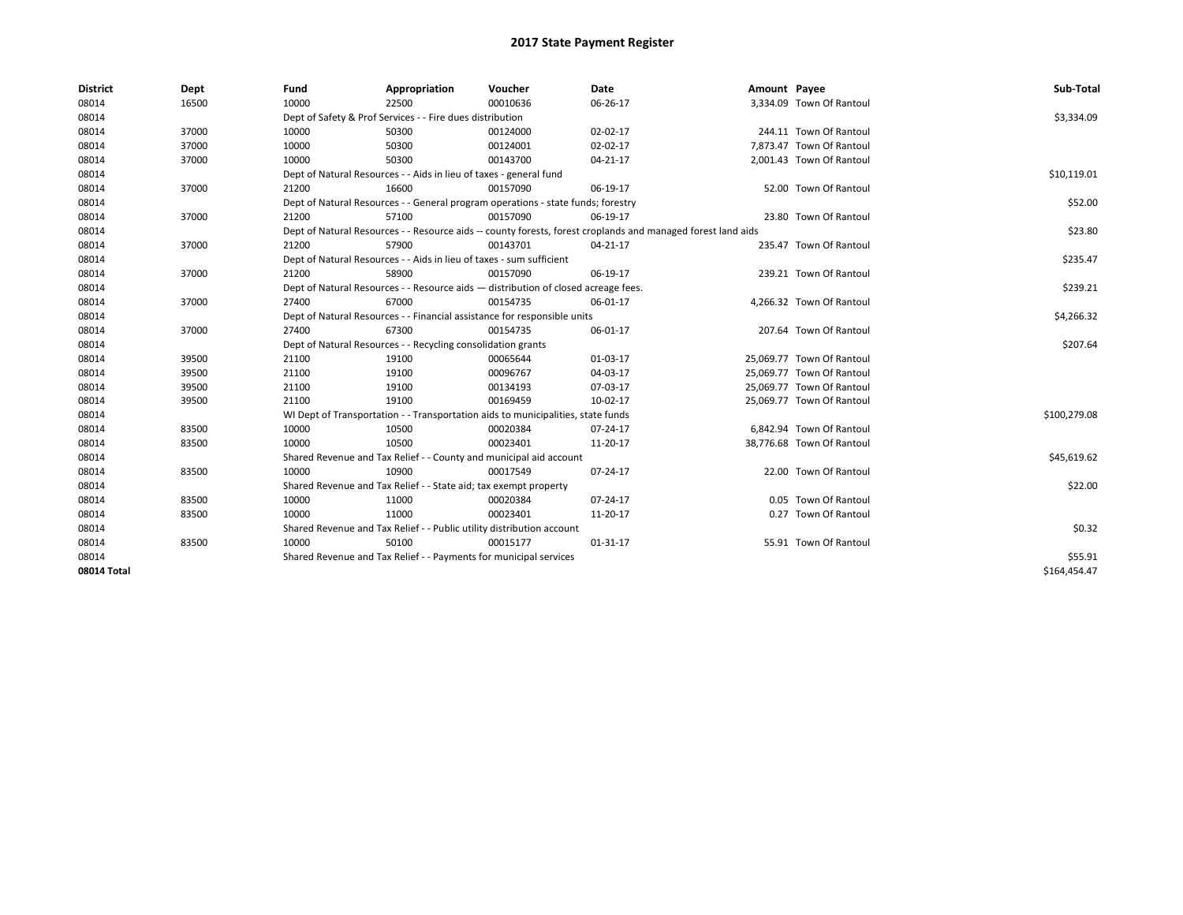| <b>District</b> | Dept  | Fund                                                              | Appropriation                                                         | Voucher                                                                            | Date                                                                                                         | Amount Payee |                           | Sub-Total    |
|-----------------|-------|-------------------------------------------------------------------|-----------------------------------------------------------------------|------------------------------------------------------------------------------------|--------------------------------------------------------------------------------------------------------------|--------------|---------------------------|--------------|
| 08014           | 16500 | 10000                                                             | 22500                                                                 | 00010636                                                                           | 06-26-17                                                                                                     |              | 3,334.09 Town Of Rantoul  |              |
| 08014           |       |                                                                   | Dept of Safety & Prof Services - - Fire dues distribution             |                                                                                    |                                                                                                              |              |                           | \$3,334.09   |
| 08014           | 37000 | 10000                                                             | 50300                                                                 | 00124000                                                                           | 02-02-17                                                                                                     |              | 244.11 Town Of Rantoul    |              |
| 08014           | 37000 | 10000                                                             | 50300                                                                 | 00124001                                                                           | 02-02-17                                                                                                     |              | 7.873.47 Town Of Rantoul  |              |
| 08014           | 37000 | 10000                                                             | 50300                                                                 | 00143700                                                                           | 04-21-17                                                                                                     |              | 2,001.43 Town Of Rantoul  |              |
| 08014           |       |                                                                   | Dept of Natural Resources - - Aids in lieu of taxes - general fund    |                                                                                    |                                                                                                              |              |                           | \$10,119.01  |
| 08014           | 37000 | 21200                                                             | 16600                                                                 | 00157090                                                                           | 06-19-17                                                                                                     |              | 52.00 Town Of Rantoul     |              |
| 08014           |       |                                                                   |                                                                       | Dept of Natural Resources - - General program operations - state funds; forestry   |                                                                                                              |              |                           | \$52.00      |
| 08014           | 37000 | 21200                                                             | 57100                                                                 | 00157090                                                                           | 06-19-17                                                                                                     |              | 23.80 Town Of Rantoul     |              |
| 08014           |       |                                                                   |                                                                       |                                                                                    | Dept of Natural Resources - - Resource aids -- county forests, forest croplands and managed forest land aids |              |                           | \$23.80      |
| 08014           | 37000 | 21200                                                             | 57900                                                                 | 00143701                                                                           | 04-21-17                                                                                                     |              | 235.47 Town Of Rantoul    |              |
| 08014           |       |                                                                   | Dept of Natural Resources - - Aids in lieu of taxes - sum sufficient  |                                                                                    |                                                                                                              |              |                           | \$235.47     |
| 08014           | 37000 | 21200                                                             | 58900                                                                 | 00157090                                                                           | 06-19-17                                                                                                     |              | 239.21 Town Of Rantoul    |              |
| 08014           |       |                                                                   |                                                                       | Dept of Natural Resources - - Resource aids - distribution of closed acreage fees. |                                                                                                              |              |                           | \$239.21     |
| 08014           | 37000 | 27400                                                             | 67000                                                                 | 00154735                                                                           | 06-01-17                                                                                                     |              | 4,266.32 Town Of Rantoul  |              |
| 08014           |       |                                                                   |                                                                       | Dept of Natural Resources - - Financial assistance for responsible units           |                                                                                                              |              |                           | \$4,266.32   |
| 08014           | 37000 | 27400                                                             | 67300                                                                 | 00154735                                                                           | 06-01-17                                                                                                     |              | 207.64 Town Of Rantoul    |              |
| 08014           |       |                                                                   | Dept of Natural Resources - - Recycling consolidation grants          |                                                                                    |                                                                                                              |              |                           | \$207.64     |
| 08014           | 39500 | 21100                                                             | 19100                                                                 | 00065644                                                                           | 01-03-17                                                                                                     |              | 25,069.77 Town Of Rantoul |              |
| 08014           | 39500 | 21100                                                             | 19100                                                                 | 00096767                                                                           | 04-03-17                                                                                                     |              | 25,069.77 Town Of Rantoul |              |
| 08014           | 39500 | 21100                                                             | 19100                                                                 | 00134193                                                                           | 07-03-17                                                                                                     |              | 25,069.77 Town Of Rantoul |              |
| 08014           | 39500 | 21100                                                             | 19100                                                                 | 00169459                                                                           | 10-02-17                                                                                                     |              | 25,069.77 Town Of Rantoul |              |
| 08014           |       |                                                                   |                                                                       | WI Dept of Transportation - - Transportation aids to municipalities, state funds   |                                                                                                              |              |                           | \$100,279.08 |
| 08014           | 83500 | 10000                                                             | 10500                                                                 | 00020384                                                                           | 07-24-17                                                                                                     |              | 6,842.94 Town Of Rantoul  |              |
| 08014           | 83500 | 10000                                                             | 10500                                                                 | 00023401                                                                           | 11-20-17                                                                                                     |              | 38,776.68 Town Of Rantoul |              |
| 08014           |       |                                                                   | Shared Revenue and Tax Relief - - County and municipal aid account    |                                                                                    |                                                                                                              |              |                           | \$45,619.62  |
| 08014           | 83500 | 10000                                                             | 10900                                                                 | 00017549                                                                           | 07-24-17                                                                                                     |              | 22.00 Town Of Rantoul     |              |
| 08014           |       |                                                                   | Shared Revenue and Tax Relief - - State aid; tax exempt property      |                                                                                    |                                                                                                              |              |                           | \$22.00      |
| 08014           | 83500 | 10000                                                             | 11000                                                                 | 00020384                                                                           | 07-24-17                                                                                                     |              | 0.05 Town Of Rantoul      |              |
| 08014           | 83500 | 10000                                                             | 11000                                                                 | 00023401                                                                           | 11-20-17                                                                                                     |              | 0.27 Town Of Rantoul      |              |
| 08014           |       |                                                                   | Shared Revenue and Tax Relief - - Public utility distribution account |                                                                                    |                                                                                                              |              |                           | \$0.32       |
| 08014           | 83500 | 10000                                                             | 50100                                                                 | 00015177                                                                           | 01-31-17                                                                                                     |              | 55.91 Town Of Rantoul     |              |
| 08014           |       | Shared Revenue and Tax Relief - - Payments for municipal services |                                                                       |                                                                                    |                                                                                                              |              |                           | \$55.91      |
| 08014 Total     |       |                                                                   |                                                                       |                                                                                    |                                                                                                              |              |                           | \$164,454.47 |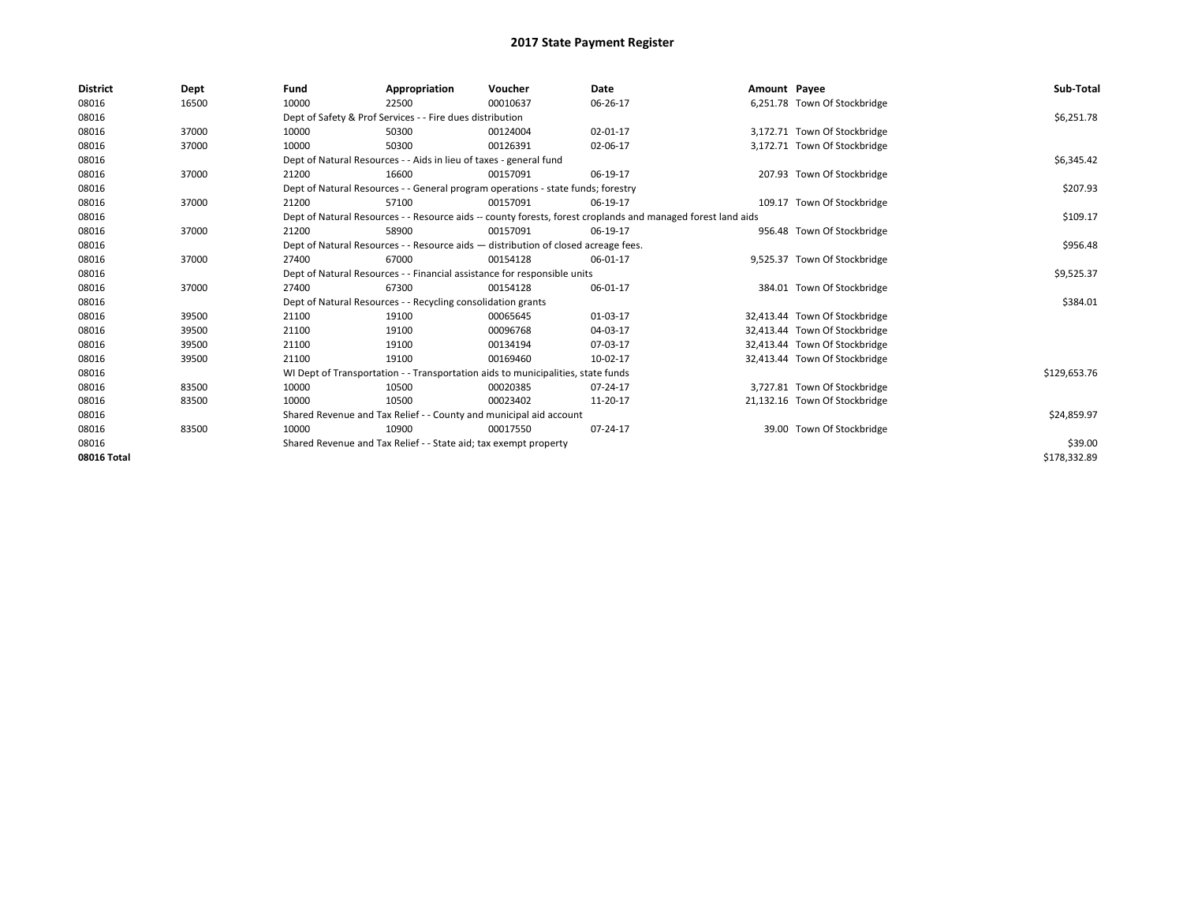| <b>District</b> | Dept  | Fund  | Appropriation                                                                      | Voucher  | Date                                                                                                         | Amount Payee |                               | Sub-Total    |
|-----------------|-------|-------|------------------------------------------------------------------------------------|----------|--------------------------------------------------------------------------------------------------------------|--------------|-------------------------------|--------------|
| 08016           | 16500 | 10000 | 22500                                                                              | 00010637 | 06-26-17                                                                                                     |              | 6,251.78 Town Of Stockbridge  |              |
| 08016           |       |       | Dept of Safety & Prof Services - - Fire dues distribution                          |          |                                                                                                              |              |                               | \$6,251.78   |
| 08016           | 37000 | 10000 | 50300                                                                              | 00124004 | 02-01-17                                                                                                     |              | 3,172.71 Town Of Stockbridge  |              |
| 08016           | 37000 | 10000 | 50300                                                                              | 00126391 | 02-06-17                                                                                                     |              | 3,172.71 Town Of Stockbridge  |              |
| 08016           |       |       | Dept of Natural Resources - - Aids in lieu of taxes - general fund                 |          |                                                                                                              |              |                               | \$6,345.42   |
| 08016           | 37000 | 21200 | 16600                                                                              | 00157091 | 06-19-17                                                                                                     |              | 207.93 Town Of Stockbridge    |              |
| 08016           |       |       | Dept of Natural Resources - - General program operations - state funds; forestry   |          |                                                                                                              |              |                               | \$207.93     |
| 08016           | 37000 | 21200 | 57100                                                                              | 00157091 | 06-19-17                                                                                                     |              | 109.17 Town Of Stockbridge    |              |
| 08016           |       |       |                                                                                    |          | Dept of Natural Resources - - Resource aids -- county forests, forest croplands and managed forest land aids |              |                               | \$109.17     |
| 08016           | 37000 | 21200 | 58900                                                                              | 00157091 | 06-19-17                                                                                                     |              | 956.48 Town Of Stockbridge    |              |
| 08016           |       |       | Dept of Natural Resources - - Resource aids - distribution of closed acreage fees. |          |                                                                                                              |              |                               | \$956.48     |
| 08016           | 37000 | 27400 | 67000                                                                              | 00154128 | 06-01-17                                                                                                     |              | 9,525.37 Town Of Stockbridge  |              |
| 08016           |       |       | Dept of Natural Resources - - Financial assistance for responsible units           |          |                                                                                                              |              |                               | \$9,525.37   |
| 08016           | 37000 | 27400 | 67300                                                                              | 00154128 | 06-01-17                                                                                                     |              | 384.01 Town Of Stockbridge    |              |
| 08016           |       |       | Dept of Natural Resources - - Recycling consolidation grants                       |          |                                                                                                              |              |                               | \$384.01     |
| 08016           | 39500 | 21100 | 19100                                                                              | 00065645 | 01-03-17                                                                                                     |              | 32,413.44 Town Of Stockbridge |              |
| 08016           | 39500 | 21100 | 19100                                                                              | 00096768 | 04-03-17                                                                                                     |              | 32,413.44 Town Of Stockbridge |              |
| 08016           | 39500 | 21100 | 19100                                                                              | 00134194 | 07-03-17                                                                                                     |              | 32,413.44 Town Of Stockbridge |              |
| 08016           | 39500 | 21100 | 19100                                                                              | 00169460 | 10-02-17                                                                                                     |              | 32,413.44 Town Of Stockbridge |              |
| 08016           |       |       | WI Dept of Transportation - - Transportation aids to municipalities, state funds   |          |                                                                                                              |              |                               | \$129,653.76 |
| 08016           | 83500 | 10000 | 10500                                                                              | 00020385 | 07-24-17                                                                                                     |              | 3,727.81 Town Of Stockbridge  |              |
| 08016           | 83500 | 10000 | 10500                                                                              | 00023402 | 11-20-17                                                                                                     |              | 21,132.16 Town Of Stockbridge |              |
| 08016           |       |       | Shared Revenue and Tax Relief - - County and municipal aid account                 |          |                                                                                                              |              |                               | \$24,859.97  |
| 08016           | 83500 | 10000 | 10900                                                                              | 00017550 | 07-24-17                                                                                                     |              | 39.00 Town Of Stockbridge     |              |
| 08016           |       |       | Shared Revenue and Tax Relief - - State aid; tax exempt property                   |          |                                                                                                              |              |                               | \$39.00      |
| 08016 Total     |       |       |                                                                                    |          |                                                                                                              |              |                               | \$178,332.89 |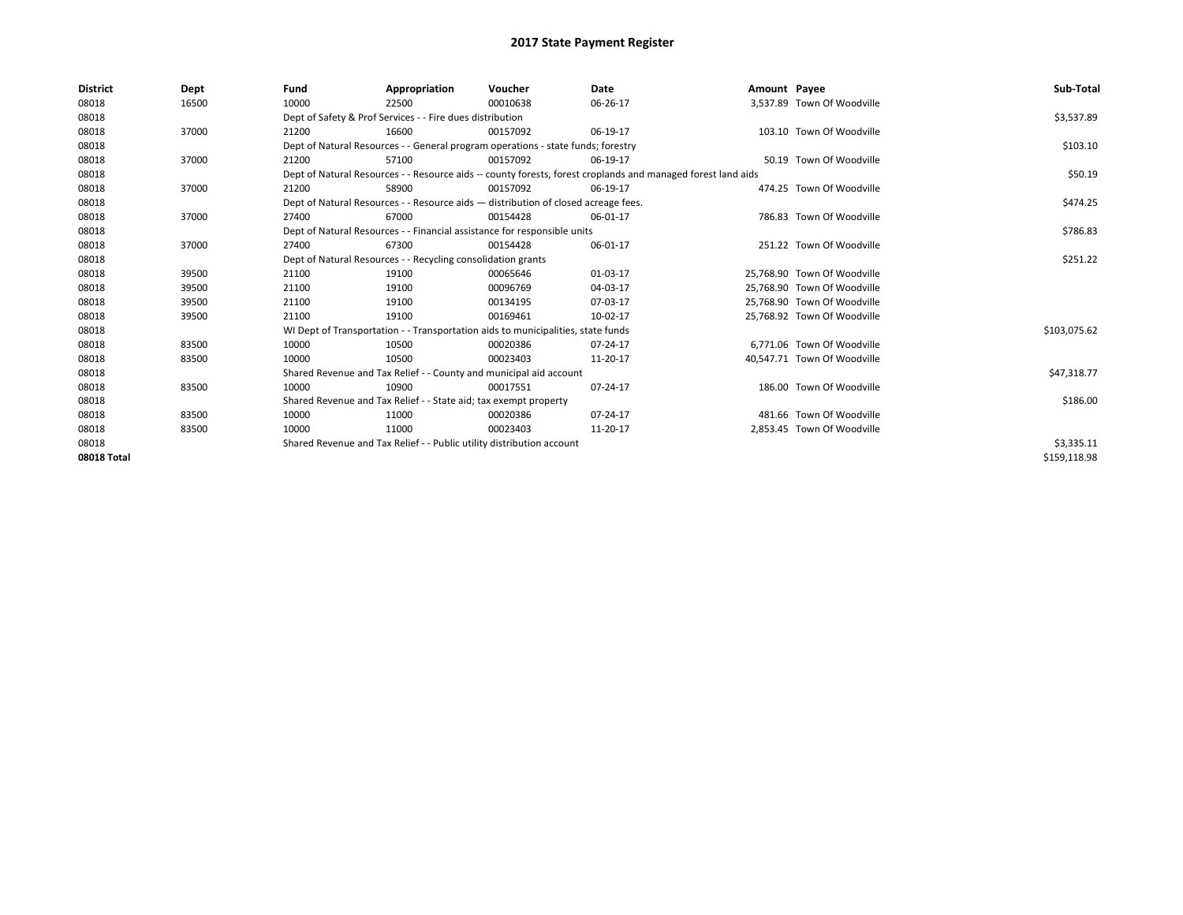| <b>District</b> | Dept  | Fund  | Appropriation                                                                                                | Voucher  | Date     | Amount Payee |                             | Sub-Total    |  |
|-----------------|-------|-------|--------------------------------------------------------------------------------------------------------------|----------|----------|--------------|-----------------------------|--------------|--|
| 08018           | 16500 | 10000 | 22500                                                                                                        | 00010638 | 06-26-17 |              | 3,537.89 Town Of Woodville  |              |  |
| 08018           |       |       | Dept of Safety & Prof Services - - Fire dues distribution                                                    |          |          |              |                             | \$3,537.89   |  |
| 08018           | 37000 | 21200 | 16600                                                                                                        | 00157092 | 06-19-17 |              | 103.10 Town Of Woodville    |              |  |
| 08018           |       |       | Dept of Natural Resources - - General program operations - state funds; forestry                             |          |          |              |                             | \$103.10     |  |
| 08018           | 37000 | 21200 | 57100                                                                                                        | 00157092 | 06-19-17 |              | 50.19 Town Of Woodville     |              |  |
| 08018           |       |       | Dept of Natural Resources - - Resource aids -- county forests, forest croplands and managed forest land aids |          |          |              |                             |              |  |
| 08018           | 37000 | 21200 | 58900                                                                                                        | 00157092 | 06-19-17 |              | 474.25 Town Of Woodville    |              |  |
| 08018           |       |       | Dept of Natural Resources - - Resource aids - distribution of closed acreage fees.                           |          |          |              |                             | \$474.25     |  |
| 08018           | 37000 | 27400 | 67000                                                                                                        | 00154428 | 06-01-17 |              | 786.83 Town Of Woodville    |              |  |
| 08018           |       |       | Dept of Natural Resources - - Financial assistance for responsible units                                     |          |          |              |                             | \$786.83     |  |
| 08018           | 37000 | 27400 | 67300                                                                                                        | 00154428 | 06-01-17 |              | 251.22 Town Of Woodville    |              |  |
| 08018           |       |       | Dept of Natural Resources - - Recycling consolidation grants                                                 |          | \$251.22 |              |                             |              |  |
| 08018           | 39500 | 21100 | 19100                                                                                                        | 00065646 | 01-03-17 |              | 25.768.90 Town Of Woodville |              |  |
| 08018           | 39500 | 21100 | 19100                                                                                                        | 00096769 | 04-03-17 |              | 25.768.90 Town Of Woodville |              |  |
| 08018           | 39500 | 21100 | 19100                                                                                                        | 00134195 | 07-03-17 |              | 25,768.90 Town Of Woodville |              |  |
| 08018           | 39500 | 21100 | 19100                                                                                                        | 00169461 | 10-02-17 |              | 25,768.92 Town Of Woodville |              |  |
| 08018           |       |       | WI Dept of Transportation - - Transportation aids to municipalities, state funds                             |          |          |              |                             | \$103,075.62 |  |
| 08018           | 83500 | 10000 | 10500                                                                                                        | 00020386 | 07-24-17 |              | 6.771.06 Town Of Woodville  |              |  |
| 08018           | 83500 | 10000 | 10500                                                                                                        | 00023403 | 11-20-17 |              | 40,547.71 Town Of Woodville |              |  |
| 08018           |       |       | Shared Revenue and Tax Relief - - County and municipal aid account                                           |          |          |              |                             | \$47,318.77  |  |
| 08018           | 83500 | 10000 | 10900                                                                                                        | 00017551 | 07-24-17 |              | 186.00 Town Of Woodville    |              |  |
| 08018           |       |       | Shared Revenue and Tax Relief - - State aid; tax exempt property                                             |          |          |              |                             | \$186.00     |  |
| 08018           | 83500 | 10000 | 11000                                                                                                        | 00020386 | 07-24-17 |              | 481.66 Town Of Woodville    |              |  |
| 08018           | 83500 | 10000 | 11000                                                                                                        | 00023403 | 11-20-17 |              | 2.853.45 Town Of Woodville  |              |  |
| 08018           |       |       | Shared Revenue and Tax Relief - - Public utility distribution account                                        |          |          |              |                             | \$3,335.11   |  |
| 08018 Total     |       |       |                                                                                                              |          |          |              |                             | \$159,118.98 |  |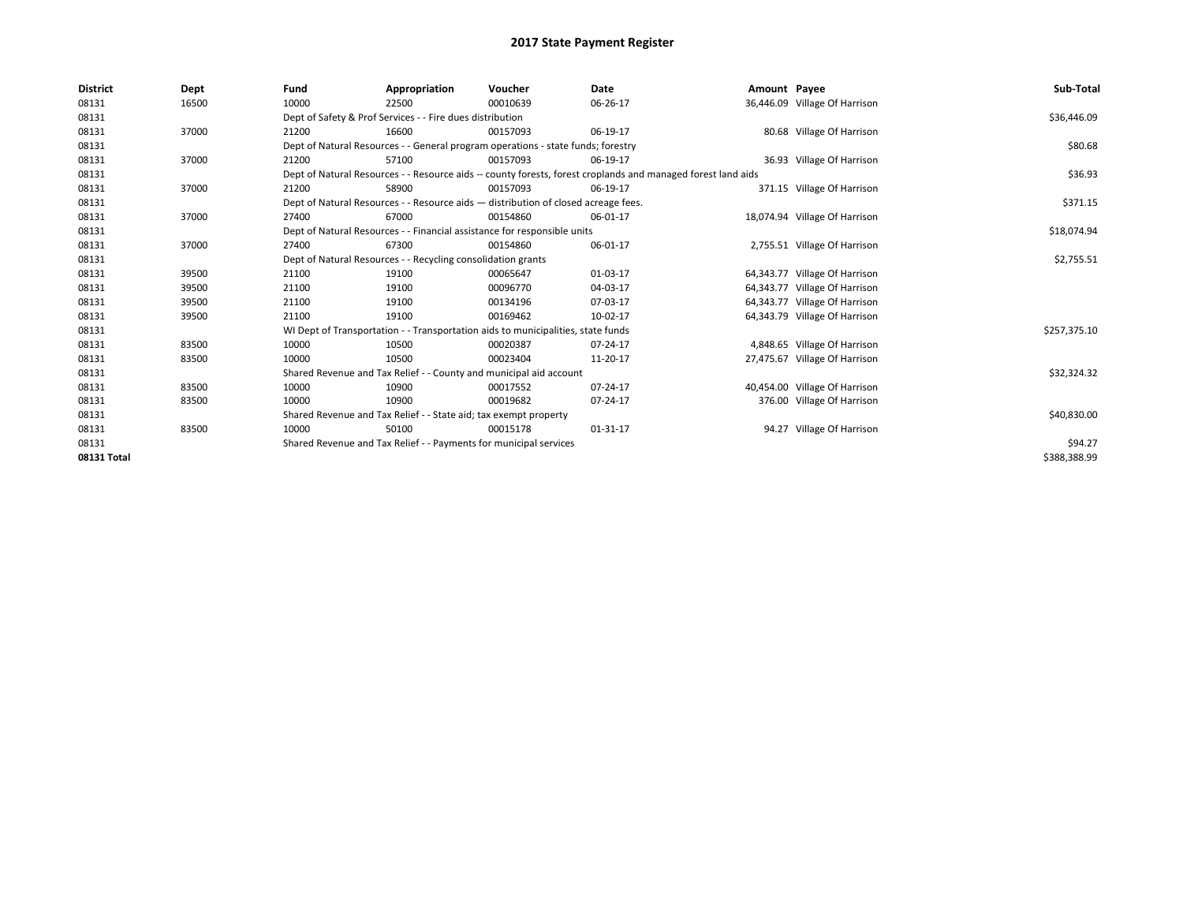| <b>District</b> | Dept  | Fund  | Appropriation                                                                                                | Voucher  | <b>Date</b> | Amount Payee |                               | Sub-Total    |  |  |
|-----------------|-------|-------|--------------------------------------------------------------------------------------------------------------|----------|-------------|--------------|-------------------------------|--------------|--|--|
| 08131           | 16500 | 10000 | 22500                                                                                                        | 00010639 | 06-26-17    |              | 36,446.09 Village Of Harrison |              |  |  |
| 08131           |       |       | Dept of Safety & Prof Services - - Fire dues distribution                                                    |          |             |              |                               | \$36,446.09  |  |  |
| 08131           | 37000 | 21200 | 16600                                                                                                        | 00157093 | 06-19-17    |              | 80.68 Village Of Harrison     |              |  |  |
| 08131           |       |       | Dept of Natural Resources - - General program operations - state funds; forestry                             |          |             |              |                               | \$80.68      |  |  |
| 08131           | 37000 | 21200 | 57100                                                                                                        | 00157093 | 06-19-17    |              | 36.93 Village Of Harrison     |              |  |  |
| 08131           |       |       | Dept of Natural Resources - - Resource aids -- county forests, forest croplands and managed forest land aids |          |             |              |                               |              |  |  |
| 08131           | 37000 | 21200 | 58900                                                                                                        | 00157093 | 06-19-17    |              | 371.15 Village Of Harrison    |              |  |  |
| 08131           |       |       | Dept of Natural Resources - - Resource aids - distribution of closed acreage fees.                           |          |             |              |                               | \$371.15     |  |  |
| 08131           | 37000 | 27400 | 67000                                                                                                        | 00154860 | 06-01-17    |              | 18,074.94 Village Of Harrison |              |  |  |
| 08131           |       |       | Dept of Natural Resources - - Financial assistance for responsible units                                     |          |             |              |                               | \$18,074.94  |  |  |
| 08131           | 37000 | 27400 | 67300                                                                                                        | 00154860 | 06-01-17    |              | 2,755.51 Village Of Harrison  |              |  |  |
| 08131           |       |       | Dept of Natural Resources - - Recycling consolidation grants                                                 |          |             |              |                               | \$2,755.51   |  |  |
| 08131           | 39500 | 21100 | 19100                                                                                                        | 00065647 | 01-03-17    |              | 64,343.77 Village Of Harrison |              |  |  |
| 08131           | 39500 | 21100 | 19100                                                                                                        | 00096770 | 04-03-17    |              | 64,343.77 Village Of Harrison |              |  |  |
| 08131           | 39500 | 21100 | 19100                                                                                                        | 00134196 | 07-03-17    |              | 64,343.77 Village Of Harrison |              |  |  |
| 08131           | 39500 | 21100 | 19100                                                                                                        | 00169462 | 10-02-17    |              | 64,343.79 Village Of Harrison |              |  |  |
| 08131           |       |       | WI Dept of Transportation - - Transportation aids to municipalities, state funds                             |          |             |              |                               | \$257,375.10 |  |  |
| 08131           | 83500 | 10000 | 10500                                                                                                        | 00020387 | 07-24-17    |              | 4,848.65 Village Of Harrison  |              |  |  |
| 08131           | 83500 | 10000 | 10500                                                                                                        | 00023404 | 11-20-17    |              | 27,475.67 Village Of Harrison |              |  |  |
| 08131           |       |       | Shared Revenue and Tax Relief - - County and municipal aid account                                           |          |             |              |                               | \$32,324.32  |  |  |
| 08131           | 83500 | 10000 | 10900                                                                                                        | 00017552 | 07-24-17    |              | 40,454.00 Village Of Harrison |              |  |  |
| 08131           | 83500 | 10000 | 10900                                                                                                        | 00019682 | 07-24-17    |              | 376.00 Village Of Harrison    |              |  |  |
| 08131           |       |       | Shared Revenue and Tax Relief - - State aid; tax exempt property                                             |          |             |              |                               | \$40,830.00  |  |  |
| 08131           | 83500 | 10000 | 50100                                                                                                        | 00015178 | 01-31-17    |              | 94.27 Village Of Harrison     |              |  |  |
| 08131           |       |       | Shared Revenue and Tax Relief - - Payments for municipal services                                            |          |             |              |                               | \$94.27      |  |  |
| 08131 Total     |       |       |                                                                                                              |          |             |              |                               | \$388,388.99 |  |  |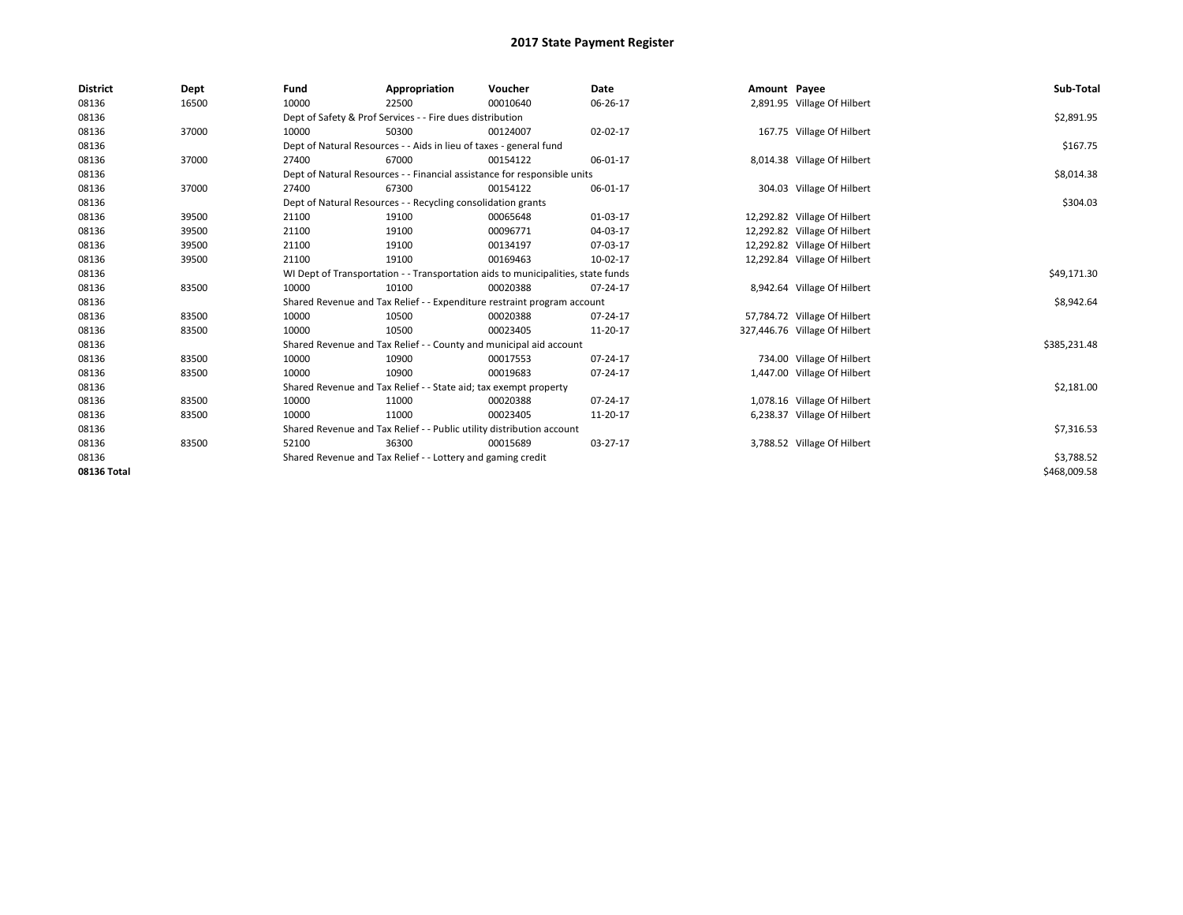| <b>District</b> | Dept  | Fund  | Appropriation                                                                    | Voucher  | Date           | Amount Payee |                               | Sub-Total    |
|-----------------|-------|-------|----------------------------------------------------------------------------------|----------|----------------|--------------|-------------------------------|--------------|
| 08136           | 16500 | 10000 | 22500                                                                            | 00010640 | 06-26-17       |              | 2,891.95 Village Of Hilbert   |              |
| 08136           |       |       | Dept of Safety & Prof Services - - Fire dues distribution                        |          |                |              |                               | \$2,891.95   |
| 08136           | 37000 | 10000 | 50300                                                                            | 00124007 | 02-02-17       |              | 167.75 Village Of Hilbert     |              |
| 08136           |       |       | Dept of Natural Resources - - Aids in lieu of taxes - general fund               |          |                |              |                               | \$167.75     |
| 08136           | 37000 | 27400 | 67000                                                                            | 00154122 | 06-01-17       |              | 8,014.38 Village Of Hilbert   |              |
| 08136           |       |       | Dept of Natural Resources - - Financial assistance for responsible units         |          |                |              |                               | \$8,014.38   |
| 08136           | 37000 | 27400 | 67300                                                                            | 00154122 | 06-01-17       |              | 304.03 Village Of Hilbert     |              |
| 08136           |       |       | Dept of Natural Resources - - Recycling consolidation grants                     |          |                |              |                               | \$304.03     |
| 08136           | 39500 | 21100 | 19100                                                                            | 00065648 | 01-03-17       |              | 12,292.82 Village Of Hilbert  |              |
| 08136           | 39500 | 21100 | 19100                                                                            | 00096771 | 04-03-17       |              | 12,292.82 Village Of Hilbert  |              |
| 08136           | 39500 | 21100 | 19100                                                                            | 00134197 | 07-03-17       |              | 12,292.82 Village Of Hilbert  |              |
| 08136           | 39500 | 21100 | 19100                                                                            | 00169463 | 10-02-17       |              | 12,292.84 Village Of Hilbert  |              |
| 08136           |       |       | WI Dept of Transportation - - Transportation aids to municipalities, state funds |          |                |              |                               | \$49,171.30  |
| 08136           | 83500 | 10000 | 10100                                                                            | 00020388 | 07-24-17       |              | 8,942.64 Village Of Hilbert   |              |
| 08136           |       |       | Shared Revenue and Tax Relief - - Expenditure restraint program account          |          |                |              |                               | \$8,942.64   |
| 08136           | 83500 | 10000 | 10500                                                                            | 00020388 | 07-24-17       |              | 57,784.72 Village Of Hilbert  |              |
| 08136           | 83500 | 10000 | 10500                                                                            | 00023405 | 11-20-17       |              | 327,446.76 Village Of Hilbert |              |
| 08136           |       |       | Shared Revenue and Tax Relief - - County and municipal aid account               |          |                |              |                               | \$385,231.48 |
| 08136           | 83500 | 10000 | 10900                                                                            | 00017553 | $07 - 24 - 17$ |              | 734.00 Village Of Hilbert     |              |
| 08136           | 83500 | 10000 | 10900                                                                            | 00019683 | 07-24-17       |              | 1,447.00 Village Of Hilbert   |              |
| 08136           |       |       | Shared Revenue and Tax Relief - - State aid; tax exempt property                 |          |                |              |                               | \$2,181.00   |
| 08136           | 83500 | 10000 | 11000                                                                            | 00020388 | 07-24-17       |              | 1,078.16 Village Of Hilbert   |              |
| 08136           | 83500 | 10000 | 11000                                                                            | 00023405 | 11-20-17       |              | 6,238.37 Village Of Hilbert   |              |
| 08136           |       |       | Shared Revenue and Tax Relief - - Public utility distribution account            |          |                |              |                               | \$7,316.53   |
| 08136           | 83500 | 52100 | 36300                                                                            | 00015689 | 03-27-17       |              | 3,788.52 Village Of Hilbert   |              |
| 08136           |       |       | Shared Revenue and Tax Relief - - Lottery and gaming credit                      |          |                |              |                               | \$3,788.52   |
| 08136 Total     |       |       |                                                                                  |          |                |              |                               | \$468,009.58 |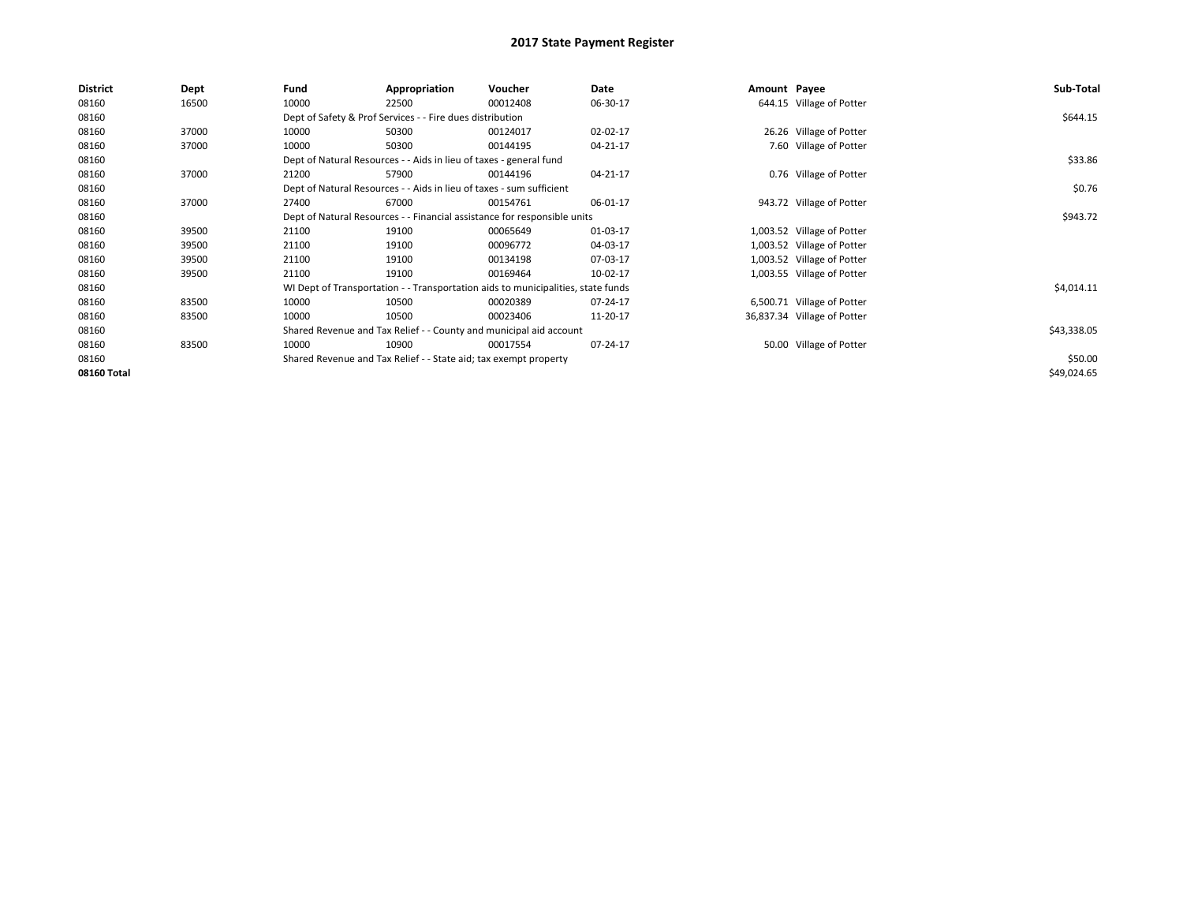| <b>District</b> | Dept  | Fund  | Appropriation                                                                    | Voucher  | Date     | Amount Payee |                             | Sub-Total   |
|-----------------|-------|-------|----------------------------------------------------------------------------------|----------|----------|--------------|-----------------------------|-------------|
| 08160           | 16500 | 10000 | 22500                                                                            | 00012408 | 06-30-17 |              | 644.15 Village of Potter    |             |
| 08160           |       |       | Dept of Safety & Prof Services - - Fire dues distribution                        |          |          |              |                             | \$644.15    |
| 08160           | 37000 | 10000 | 50300                                                                            | 00124017 | 02-02-17 |              | 26.26 Village of Potter     |             |
| 08160           | 37000 | 10000 | 50300                                                                            | 00144195 | 04-21-17 |              | 7.60 Village of Potter      |             |
| 08160           |       |       | Dept of Natural Resources - - Aids in lieu of taxes - general fund               |          |          |              |                             | \$33.86     |
| 08160           | 37000 | 21200 | 57900                                                                            | 00144196 | 04-21-17 |              | 0.76 Village of Potter      |             |
| 08160           |       |       | Dept of Natural Resources - - Aids in lieu of taxes - sum sufficient             |          |          |              |                             | \$0.76      |
| 08160           | 37000 | 27400 | 67000                                                                            | 00154761 | 06-01-17 |              | 943.72 Village of Potter    |             |
| 08160           |       |       | Dept of Natural Resources - - Financial assistance for responsible units         |          | \$943.72 |              |                             |             |
| 08160           | 39500 | 21100 | 19100                                                                            | 00065649 | 01-03-17 |              | 1,003.52 Village of Potter  |             |
| 08160           | 39500 | 21100 | 19100                                                                            | 00096772 | 04-03-17 |              | 1,003.52 Village of Potter  |             |
| 08160           | 39500 | 21100 | 19100                                                                            | 00134198 | 07-03-17 |              | 1,003.52 Village of Potter  |             |
| 08160           | 39500 | 21100 | 19100                                                                            | 00169464 | 10-02-17 |              | 1,003.55 Village of Potter  |             |
| 08160           |       |       | WI Dept of Transportation - - Transportation aids to municipalities, state funds |          |          |              |                             | \$4,014.11  |
| 08160           | 83500 | 10000 | 10500                                                                            | 00020389 | 07-24-17 |              | 6,500.71 Village of Potter  |             |
| 08160           | 83500 | 10000 | 10500                                                                            | 00023406 | 11-20-17 |              | 36,837.34 Village of Potter |             |
| 08160           |       |       | Shared Revenue and Tax Relief - - County and municipal aid account               |          |          |              |                             | \$43,338.05 |
| 08160           | 83500 | 10000 | 10900                                                                            | 00017554 | 07-24-17 |              | 50.00 Village of Potter     |             |
| 08160           |       |       | Shared Revenue and Tax Relief - - State aid; tax exempt property                 |          |          |              |                             | \$50.00     |
| 08160 Total     |       |       |                                                                                  |          |          |              |                             | \$49,024.65 |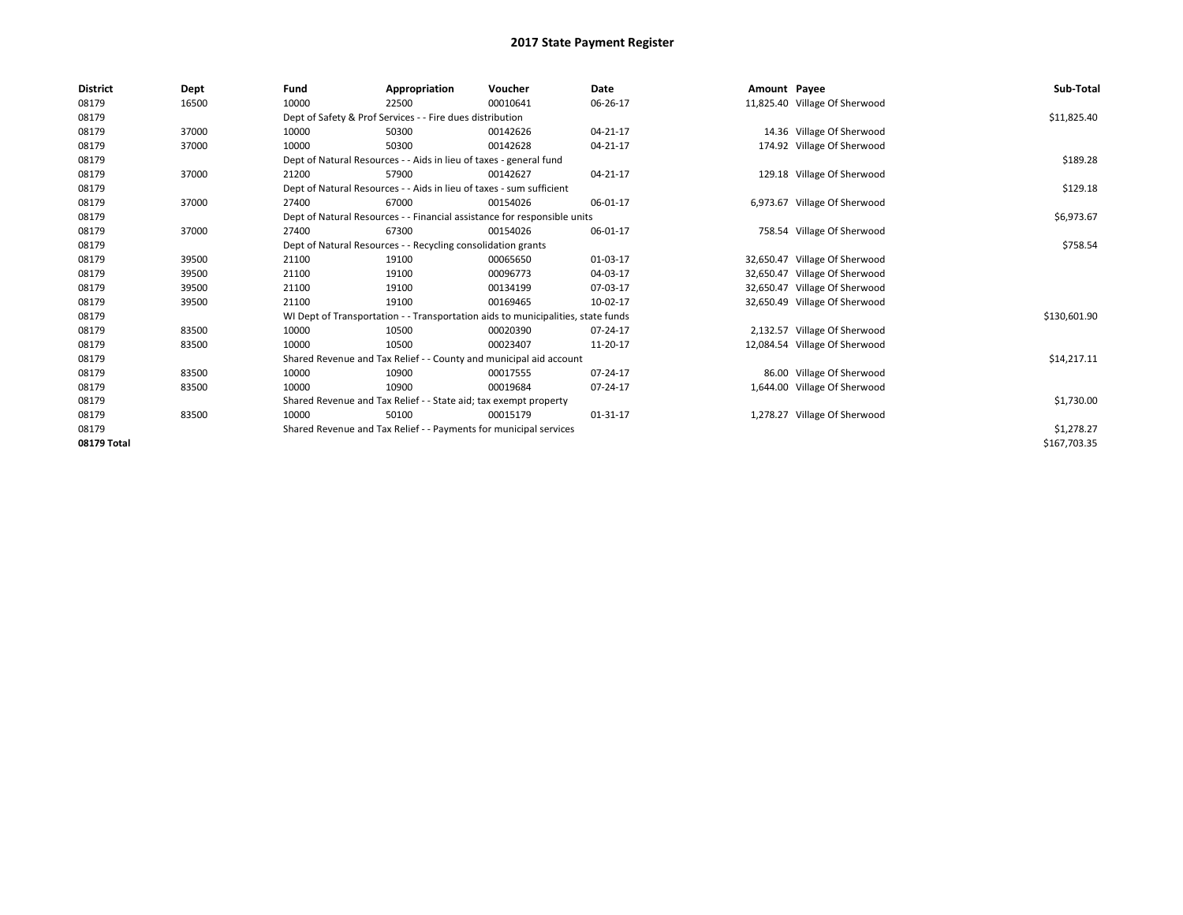| <b>District</b> | Dept  | Fund  | Appropriation                                                                    | Voucher  | Date     | Amount Payee |                               | Sub-Total    |
|-----------------|-------|-------|----------------------------------------------------------------------------------|----------|----------|--------------|-------------------------------|--------------|
| 08179           | 16500 | 10000 | 22500                                                                            | 00010641 | 06-26-17 |              | 11,825.40 Village Of Sherwood |              |
| 08179           |       |       | Dept of Safety & Prof Services - - Fire dues distribution                        |          |          |              |                               | \$11,825.40  |
| 08179           | 37000 | 10000 | 50300                                                                            | 00142626 | 04-21-17 |              | 14.36 Village Of Sherwood     |              |
| 08179           | 37000 | 10000 | 50300                                                                            | 00142628 | 04-21-17 |              | 174.92 Village Of Sherwood    |              |
| 08179           |       |       | Dept of Natural Resources - - Aids in lieu of taxes - general fund               |          |          |              |                               | \$189.28     |
| 08179           | 37000 | 21200 | 57900                                                                            | 00142627 | 04-21-17 |              | 129.18 Village Of Sherwood    |              |
| 08179           |       |       | Dept of Natural Resources - - Aids in lieu of taxes - sum sufficient             |          |          |              |                               | \$129.18     |
| 08179           | 37000 | 27400 | 67000                                                                            | 00154026 | 06-01-17 |              | 6,973.67 Village Of Sherwood  |              |
| 08179           |       |       | Dept of Natural Resources - - Financial assistance for responsible units         |          |          |              |                               | \$6,973.67   |
| 08179           | 37000 | 27400 | 67300                                                                            | 00154026 | 06-01-17 |              | 758.54 Village Of Sherwood    |              |
| 08179           |       |       | Dept of Natural Resources - - Recycling consolidation grants                     |          |          |              |                               | \$758.54     |
| 08179           | 39500 | 21100 | 19100                                                                            | 00065650 | 01-03-17 |              | 32,650.47 Village Of Sherwood |              |
| 08179           | 39500 | 21100 | 19100                                                                            | 00096773 | 04-03-17 |              | 32,650.47 Village Of Sherwood |              |
| 08179           | 39500 | 21100 | 19100                                                                            | 00134199 | 07-03-17 | 32,650.47    | Village Of Sherwood           |              |
| 08179           | 39500 | 21100 | 19100                                                                            | 00169465 | 10-02-17 |              | 32,650.49 Village Of Sherwood |              |
| 08179           |       |       | WI Dept of Transportation - - Transportation aids to municipalities, state funds |          |          |              |                               | \$130,601.90 |
| 08179           | 83500 | 10000 | 10500                                                                            | 00020390 | 07-24-17 |              | 2,132.57 Village Of Sherwood  |              |
| 08179           | 83500 | 10000 | 10500                                                                            | 00023407 | 11-20-17 |              | 12,084.54 Village Of Sherwood |              |
| 08179           |       |       | Shared Revenue and Tax Relief - - County and municipal aid account               |          |          |              |                               | \$14,217.11  |
| 08179           | 83500 | 10000 | 10900                                                                            | 00017555 | 07-24-17 |              | 86.00 Village Of Sherwood     |              |
| 08179           | 83500 | 10000 | 10900                                                                            | 00019684 | 07-24-17 |              | 1,644.00 Village Of Sherwood  |              |
| 08179           |       |       | Shared Revenue and Tax Relief - - State aid; tax exempt property                 |          |          |              |                               | \$1,730.00   |
| 08179           | 83500 | 10000 | 50100                                                                            | 00015179 | 01-31-17 |              | 1,278.27 Village Of Sherwood  |              |
| 08179           |       |       | Shared Revenue and Tax Relief - - Payments for municipal services                |          |          |              |                               | \$1,278.27   |
| 08179 Total     |       |       |                                                                                  |          |          |              |                               | \$167,703.35 |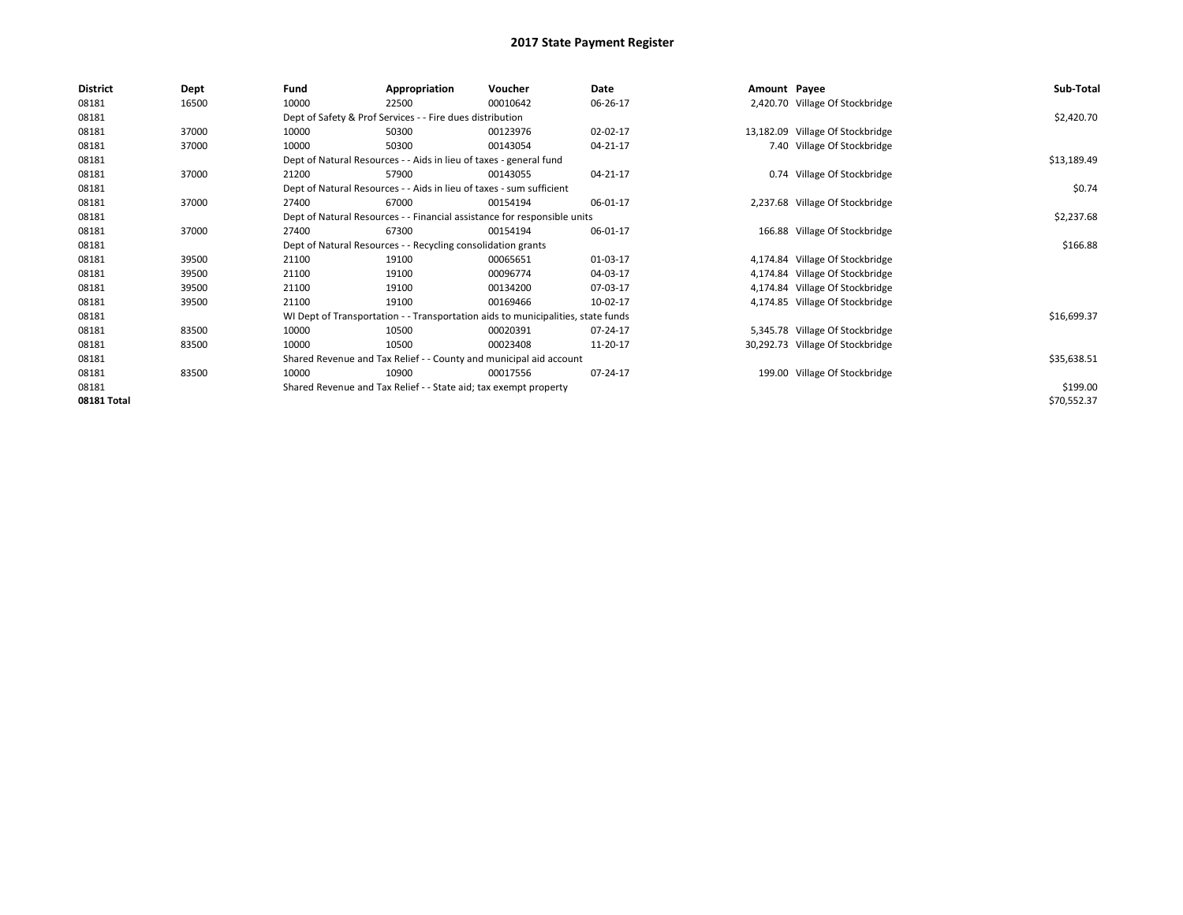| <b>District</b> | Dept  | Fund  | Appropriation                                                                    | Voucher  | Date     | Amount Payee |                                  | Sub-Total   |
|-----------------|-------|-------|----------------------------------------------------------------------------------|----------|----------|--------------|----------------------------------|-------------|
| 08181           | 16500 | 10000 | 22500                                                                            | 00010642 | 06-26-17 |              | 2,420.70 Village Of Stockbridge  |             |
| 08181           |       |       | Dept of Safety & Prof Services - - Fire dues distribution                        |          |          |              |                                  | \$2,420.70  |
| 08181           | 37000 | 10000 | 50300                                                                            | 00123976 | 02-02-17 |              | 13,182.09 Village Of Stockbridge |             |
| 08181           | 37000 | 10000 | 50300                                                                            | 00143054 | 04-21-17 |              | 7.40 Village Of Stockbridge      |             |
| 08181           |       |       | Dept of Natural Resources - - Aids in lieu of taxes - general fund               |          |          |              |                                  | \$13,189.49 |
| 08181           | 37000 | 21200 | 57900                                                                            | 00143055 | 04-21-17 |              | 0.74 Village Of Stockbridge      |             |
| 08181           |       |       | Dept of Natural Resources - - Aids in lieu of taxes - sum sufficient             |          |          |              |                                  | \$0.74      |
| 08181           | 37000 | 27400 | 67000                                                                            | 00154194 | 06-01-17 |              | 2,237.68 Village Of Stockbridge  |             |
| 08181           |       |       | Dept of Natural Resources - - Financial assistance for responsible units         |          |          |              |                                  | \$2,237.68  |
| 08181           | 37000 | 27400 | 67300                                                                            | 00154194 | 06-01-17 |              | 166.88 Village Of Stockbridge    |             |
| 08181           |       |       | Dept of Natural Resources - - Recycling consolidation grants                     |          |          |              |                                  | \$166.88    |
| 08181           | 39500 | 21100 | 19100                                                                            | 00065651 | 01-03-17 |              | 4,174.84 Village Of Stockbridge  |             |
| 08181           | 39500 | 21100 | 19100                                                                            | 00096774 | 04-03-17 |              | 4,174.84 Village Of Stockbridge  |             |
| 08181           | 39500 | 21100 | 19100                                                                            | 00134200 | 07-03-17 |              | 4,174.84 Village Of Stockbridge  |             |
| 08181           | 39500 | 21100 | 19100                                                                            | 00169466 | 10-02-17 |              | 4,174.85 Village Of Stockbridge  |             |
| 08181           |       |       | WI Dept of Transportation - - Transportation aids to municipalities, state funds |          |          |              |                                  | \$16,699.37 |
| 08181           | 83500 | 10000 | 10500                                                                            | 00020391 | 07-24-17 |              | 5,345.78 Village Of Stockbridge  |             |
| 08181           | 83500 | 10000 | 10500                                                                            | 00023408 | 11-20-17 |              | 30,292.73 Village Of Stockbridge |             |
| 08181           |       |       | Shared Revenue and Tax Relief - - County and municipal aid account               |          |          |              |                                  | \$35,638.51 |
| 08181           | 83500 | 10000 | 10900                                                                            | 00017556 | 07-24-17 |              | 199.00 Village Of Stockbridge    |             |
| 08181           |       |       | Shared Revenue and Tax Relief - - State aid; tax exempt property                 |          |          |              |                                  | \$199.00    |
| 08181 Total     |       |       |                                                                                  |          |          |              |                                  | \$70,552.37 |
|                 |       |       |                                                                                  |          |          |              |                                  |             |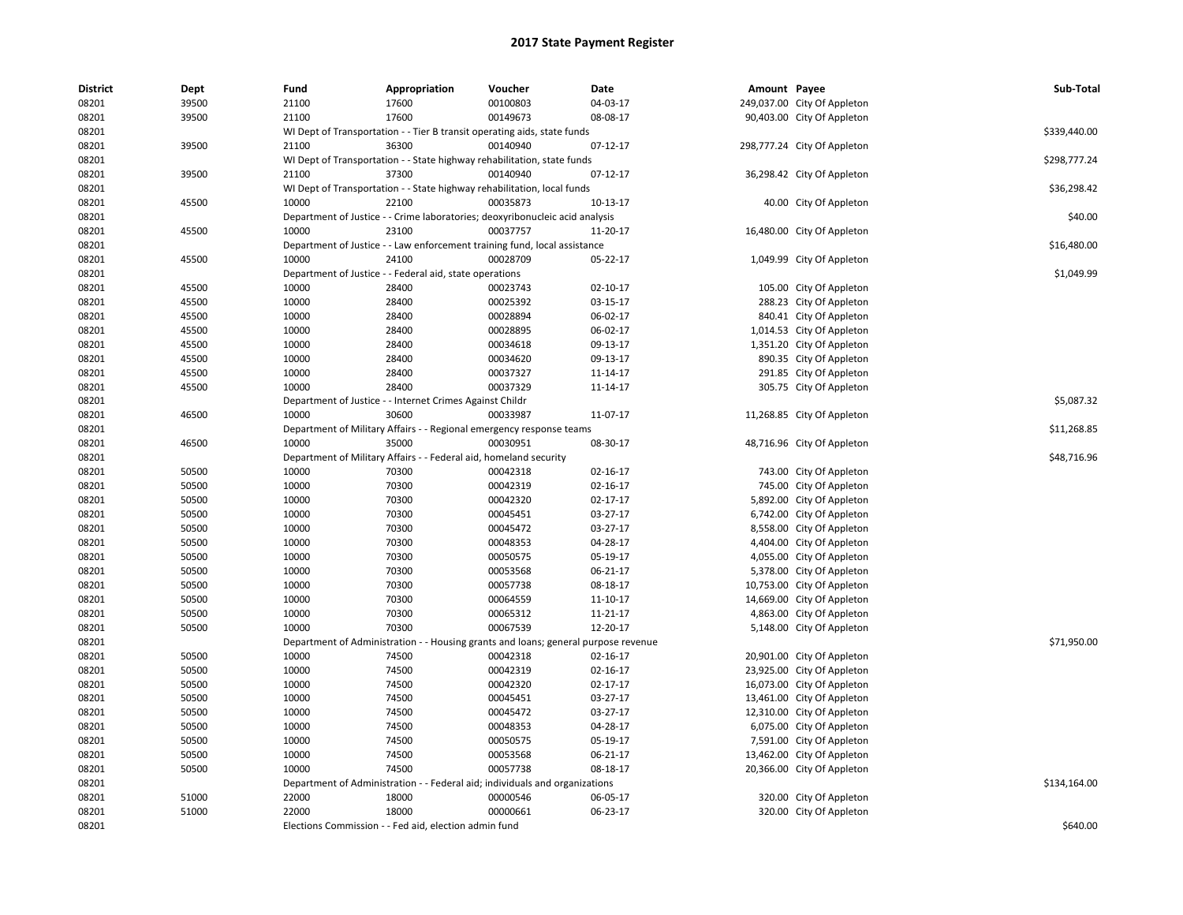| <b>District</b> | Dept  | Fund                         | Appropriation                                                                | Voucher  | Date                                                  | Amount Payee |                             | Sub-Total    |
|-----------------|-------|------------------------------|------------------------------------------------------------------------------|----------|-------------------------------------------------------|--------------|-----------------------------|--------------|
| 08201           | 39500 | 21100                        | 17600                                                                        | 00100803 | 04-03-17                                              |              | 249,037.00 City Of Appleton |              |
| 08201           | 39500 | 21100                        | 17600                                                                        | 00149673 | 08-08-17                                              |              | 90,403.00 City Of Appleton  |              |
| 08201           |       |                              | WI Dept of Transportation - - Tier B transit operating aids, state funds     |          |                                                       |              |                             | \$339,440.00 |
| 08201           | 39500 | 21100                        | 36300                                                                        | 00140940 | $07-12-17$                                            |              | 298,777.24 City Of Appleton |              |
| 08201           |       |                              | WI Dept of Transportation - - State highway rehabilitation, state funds      |          |                                                       |              |                             | \$298,777.24 |
| 08201           | 39500 | 21100                        | 37300                                                                        | 00140940 | $07 - 12 - 17$                                        |              | 36,298.42 City Of Appleton  |              |
| 08201           |       |                              | WI Dept of Transportation - - State highway rehabilitation, local funds      |          |                                                       |              |                             | \$36,298.42  |
| 08201           | 45500 | 10000                        | 22100                                                                        | 00035873 | 10-13-17                                              |              | 40.00 City Of Appleton      |              |
| 08201           |       |                              | Department of Justice - - Crime laboratories; deoxyribonucleic acid analysis |          |                                                       |              |                             | \$40.00      |
| 08201           | 45500 | 10000                        | 23100                                                                        | 00037757 | 11-20-17                                              |              | 16,480.00 City Of Appleton  |              |
| 08201           |       |                              | Department of Justice - - Law enforcement training fund, local assistance    |          |                                                       |              |                             | \$16,480.00  |
| 08201           | 45500 | 10000                        | 24100                                                                        | 00028709 | 05-22-17                                              |              | 1,049.99 City Of Appleton   |              |
| 08201           |       |                              | Department of Justice - - Federal aid, state operations                      |          |                                                       |              |                             | \$1,049.99   |
| 08201           | 45500 | 10000                        | 28400                                                                        | 00023743 | 02-10-17                                              |              | 105.00 City Of Appleton     |              |
| 08201           | 45500 | 10000                        | 28400                                                                        | 00025392 | 03-15-17                                              |              | 288.23 City Of Appleton     |              |
| 08201           | 45500 | 10000                        | 28400                                                                        | 00028894 | 06-02-17                                              |              | 840.41 City Of Appleton     |              |
| 08201           | 45500 | 10000                        | 28400                                                                        | 00028895 | 06-02-17                                              |              | 1,014.53 City Of Appleton   |              |
| 08201           | 45500 | 10000                        | 28400                                                                        | 00034618 | 09-13-17                                              |              | 1,351.20 City Of Appleton   |              |
| 08201           | 45500 | 10000                        | 28400                                                                        | 00034620 | 09-13-17                                              |              | 890.35 City Of Appleton     |              |
| 08201           | 45500 | 10000                        | 28400                                                                        | 00037327 | 11-14-17                                              |              | 291.85 City Of Appleton     |              |
| 08201           | 45500 | 10000                        | 28400                                                                        | 00037329 | 11-14-17                                              |              | 305.75 City Of Appleton     |              |
| 08201           |       |                              | Department of Justice - - Internet Crimes Against Childr                     |          |                                                       |              |                             | \$5,087.32   |
| 08201           | 46500 | 10000                        | 30600                                                                        | 00033987 | 11-07-17                                              |              | 11,268.85 City Of Appleton  |              |
| 08201           |       |                              | Department of Military Affairs - - Regional emergency response teams         |          |                                                       |              |                             | \$11,268.85  |
| 08201           | 46500 | 10000                        | 35000                                                                        | 00030951 | 08-30-17                                              |              | 48,716.96 City Of Appleton  |              |
| 08201           |       |                              | Department of Military Affairs - - Federal aid, homeland security            |          |                                                       |              |                             | \$48,716.96  |
| 08201           | 50500 | 10000                        | 70300                                                                        | 00042318 | $02 - 16 - 17$                                        |              | 743.00 City Of Appleton     |              |
| 08201           | 50500 | 10000                        | 70300                                                                        | 00042319 | 02-16-17                                              |              | 745.00 City Of Appleton     |              |
| 08201           | 50500 | 10000                        | 70300                                                                        | 00042320 | 02-17-17                                              |              | 5,892.00 City Of Appleton   |              |
| 08201           | 50500 | 10000                        | 70300                                                                        | 00045451 | 03-27-17                                              |              | 6,742.00 City Of Appleton   |              |
| 08201           | 50500 | 10000                        | 70300                                                                        | 00045472 | 03-27-17                                              |              | 8,558.00 City Of Appleton   |              |
| 08201           | 50500 | 10000                        | 70300                                                                        | 00048353 | 04-28-17                                              |              | 4,404.00 City Of Appleton   |              |
| 08201           | 50500 | 10000                        | 70300                                                                        | 00050575 | 05-19-17                                              |              | 4,055.00 City Of Appleton   |              |
| 08201           | 50500 | 10000                        | 70300                                                                        | 00053568 | 06-21-17                                              |              | 5,378.00 City Of Appleton   |              |
| 08201           | 50500 | 10000                        | 70300                                                                        | 00057738 | 08-18-17                                              |              | 10,753.00 City Of Appleton  |              |
| 08201           | 50500 | 10000                        | 70300                                                                        | 00064559 | 11-10-17                                              |              | 14,669.00 City Of Appleton  |              |
| 08201           | 50500 | 10000                        | 70300                                                                        | 00065312 | 11-21-17                                              |              | 4,863.00 City Of Appleton   |              |
| 08201           | 50500 | 10000                        | 70300                                                                        | 00067539 | 12-20-17                                              |              | 5,148.00 City Of Appleton   |              |
| 08201           |       | Department of Administration |                                                                              |          | - - Housing grants and loans; general purpose revenue |              |                             | \$71,950.00  |
| 08201           | 50500 | 10000                        | 74500                                                                        | 00042318 | 02-16-17                                              |              | 20,901.00 City Of Appleton  |              |
| 08201           | 50500 | 10000                        | 74500                                                                        | 00042319 | 02-16-17                                              |              | 23,925.00 City Of Appleton  |              |
| 08201           | 50500 | 10000                        | 74500                                                                        | 00042320 | 02-17-17                                              |              | 16,073.00 City Of Appleton  |              |
| 08201           | 50500 | 10000                        | 74500                                                                        | 00045451 | 03-27-17                                              |              | 13,461.00 City Of Appleton  |              |
| 08201           | 50500 | 10000                        | 74500                                                                        | 00045472 | 03-27-17                                              |              | 12,310.00 City Of Appleton  |              |
| 08201           | 50500 | 10000                        | 74500                                                                        | 00048353 | 04-28-17                                              |              | 6,075.00 City Of Appleton   |              |
| 08201           | 50500 | 10000                        | 74500                                                                        | 00050575 | 05-19-17                                              |              | 7,591.00 City Of Appleton   |              |
| 08201           | 50500 | 10000                        | 74500                                                                        | 00053568 | 06-21-17                                              |              | 13,462.00 City Of Appleton  |              |
| 08201           | 50500 | 10000                        | 74500                                                                        | 00057738 | 08-18-17                                              |              | 20,366.00 City Of Appleton  |              |
| 08201           |       |                              | Department of Administration - - Federal aid; individuals and organizations  |          |                                                       |              |                             | \$134,164.00 |
| 08201           | 51000 | 22000                        | 18000                                                                        | 00000546 | 06-05-17                                              |              | 320.00 City Of Appleton     |              |
| 08201           | 51000 | 22000                        | 18000                                                                        | 00000661 | 06-23-17                                              |              | 320.00 City Of Appleton     |              |
| 08201           |       |                              | Elections Commission - - Fed aid, election admin fund                        |          |                                                       |              |                             | \$640.00     |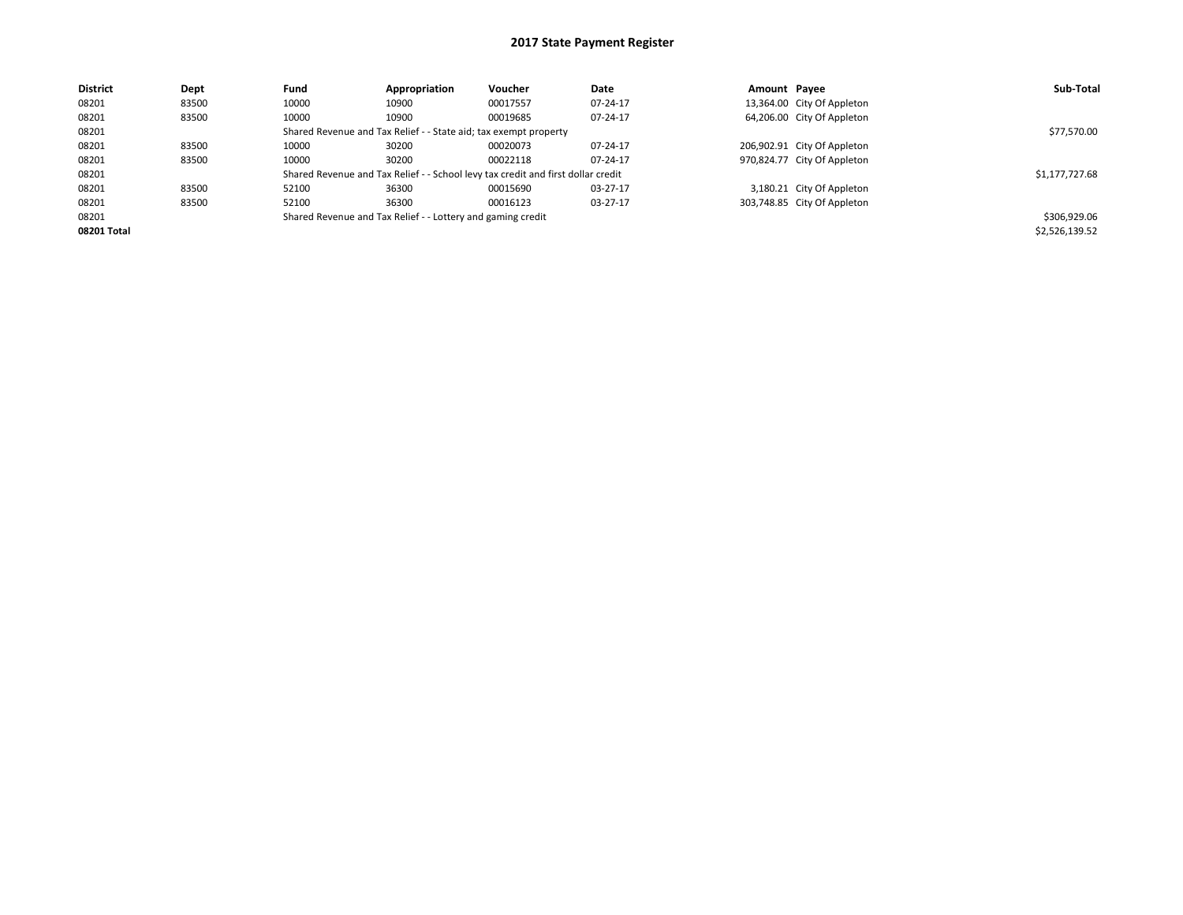| <b>District</b> | Dept  | Fund  | Appropriation                                                                    | <b>Voucher</b> | Date     | Amount Payee |                             | Sub-Total      |
|-----------------|-------|-------|----------------------------------------------------------------------------------|----------------|----------|--------------|-----------------------------|----------------|
| 08201           | 83500 | 10000 | 10900                                                                            | 00017557       | 07-24-17 |              | 13,364.00 City Of Appleton  |                |
| 08201           | 83500 | 10000 | 10900                                                                            | 00019685       | 07-24-17 |              | 64,206.00 City Of Appleton  |                |
| 08201           |       |       | Shared Revenue and Tax Relief - - State aid; tax exempt property                 |                |          |              |                             | \$77,570.00    |
| 08201           | 83500 | 10000 | 30200                                                                            | 00020073       | 07-24-17 |              | 206,902.91 City Of Appleton |                |
| 08201           | 83500 | 10000 | 30200                                                                            | 00022118       | 07-24-17 |              | 970,824.77 City Of Appleton |                |
| 08201           |       |       | Shared Revenue and Tax Relief - - School levy tax credit and first dollar credit |                |          |              |                             | \$1,177,727.68 |
| 08201           | 83500 | 52100 | 36300                                                                            | 00015690       | 03-27-17 |              | 3,180.21 City Of Appleton   |                |
| 08201           | 83500 | 52100 | 36300                                                                            | 00016123       | 03-27-17 |              | 303,748.85 City Of Appleton |                |
| 08201           |       |       | Shared Revenue and Tax Relief - - Lottery and gaming credit                      |                |          |              |                             | \$306,929.06   |
| 08201 Total     |       |       |                                                                                  |                |          |              |                             | \$2,526,139.52 |
|                 |       |       |                                                                                  |                |          |              |                             |                |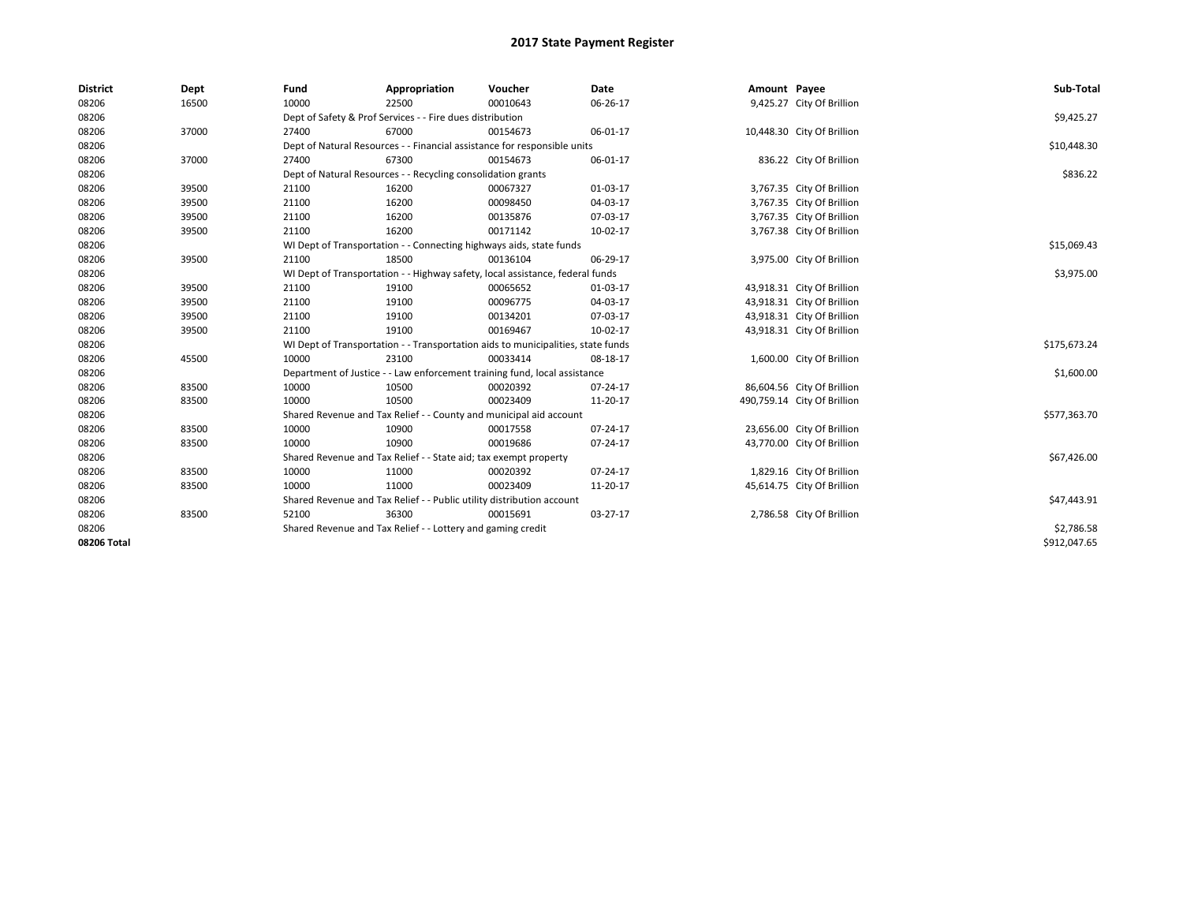| <b>District</b> | Dept  | Fund  | Appropriation                                                                    | Voucher  | Date     | Amount Payee |                             | Sub-Total    |
|-----------------|-------|-------|----------------------------------------------------------------------------------|----------|----------|--------------|-----------------------------|--------------|
| 08206           | 16500 | 10000 | 22500                                                                            | 00010643 | 06-26-17 |              | 9,425.27 City Of Brillion   |              |
| 08206           |       |       | Dept of Safety & Prof Services - - Fire dues distribution                        |          |          |              |                             | \$9,425.27   |
| 08206           | 37000 | 27400 | 67000                                                                            | 00154673 | 06-01-17 |              | 10,448.30 City Of Brillion  |              |
| 08206           |       |       | Dept of Natural Resources - - Financial assistance for responsible units         |          |          |              |                             | \$10,448.30  |
| 08206           | 37000 | 27400 | 67300                                                                            | 00154673 | 06-01-17 |              | 836.22 City Of Brillion     |              |
| 08206           |       |       | Dept of Natural Resources - - Recycling consolidation grants                     |          |          |              |                             | \$836.22     |
| 08206           | 39500 | 21100 | 16200                                                                            | 00067327 | 01-03-17 |              | 3,767.35 City Of Brillion   |              |
| 08206           | 39500 | 21100 | 16200                                                                            | 00098450 | 04-03-17 |              | 3,767.35 City Of Brillion   |              |
| 08206           | 39500 | 21100 | 16200                                                                            | 00135876 | 07-03-17 |              | 3,767.35 City Of Brillion   |              |
| 08206           | 39500 | 21100 | 16200                                                                            | 00171142 | 10-02-17 |              | 3,767.38 City Of Brillion   |              |
| 08206           |       |       | WI Dept of Transportation - - Connecting highways aids, state funds              |          |          |              |                             | \$15,069.43  |
| 08206           | 39500 | 21100 | 18500                                                                            | 00136104 | 06-29-17 |              | 3,975.00 City Of Brillion   |              |
| 08206           |       |       | WI Dept of Transportation - - Highway safety, local assistance, federal funds    |          |          |              |                             | \$3,975.00   |
| 08206           | 39500 | 21100 | 19100                                                                            | 00065652 | 01-03-17 |              | 43,918.31 City Of Brillion  |              |
| 08206           | 39500 | 21100 | 19100                                                                            | 00096775 | 04-03-17 |              | 43,918.31 City Of Brillion  |              |
| 08206           | 39500 | 21100 | 19100                                                                            | 00134201 | 07-03-17 |              | 43,918.31 City Of Brillion  |              |
| 08206           | 39500 | 21100 | 19100                                                                            | 00169467 | 10-02-17 |              | 43,918.31 City Of Brillion  |              |
| 08206           |       |       | WI Dept of Transportation - - Transportation aids to municipalities, state funds |          |          |              |                             | \$175,673.24 |
| 08206           | 45500 | 10000 | 23100                                                                            | 00033414 | 08-18-17 |              | 1,600.00 City Of Brillion   |              |
| 08206           |       |       | Department of Justice - - Law enforcement training fund, local assistance        |          |          |              |                             | \$1,600.00   |
| 08206           | 83500 | 10000 | 10500                                                                            | 00020392 | 07-24-17 |              | 86,604.56 City Of Brillion  |              |
| 08206           | 83500 | 10000 | 10500                                                                            | 00023409 | 11-20-17 |              | 490,759.14 City Of Brillion |              |
| 08206           |       |       | Shared Revenue and Tax Relief - - County and municipal aid account               |          |          |              |                             | \$577,363.70 |
| 08206           | 83500 | 10000 | 10900                                                                            | 00017558 | 07-24-17 |              | 23,656.00 City Of Brillion  |              |
| 08206           | 83500 | 10000 | 10900                                                                            | 00019686 | 07-24-17 |              | 43,770.00 City Of Brillion  |              |
| 08206           |       |       | Shared Revenue and Tax Relief - - State aid; tax exempt property                 |          |          |              |                             | \$67,426.00  |
| 08206           | 83500 | 10000 | 11000                                                                            | 00020392 | 07-24-17 |              | 1,829.16 City Of Brillion   |              |
| 08206           | 83500 | 10000 | 11000                                                                            | 00023409 | 11-20-17 |              | 45,614.75 City Of Brillion  |              |
| 08206           |       |       | Shared Revenue and Tax Relief - - Public utility distribution account            |          |          |              |                             | \$47,443.91  |
| 08206           | 83500 | 52100 | 36300                                                                            | 00015691 | 03-27-17 |              | 2,786.58 City Of Brillion   |              |
| 08206           |       |       | Shared Revenue and Tax Relief - - Lottery and gaming credit                      |          |          |              |                             | \$2,786.58   |
| 08206 Total     |       |       |                                                                                  |          |          |              |                             | \$912,047.65 |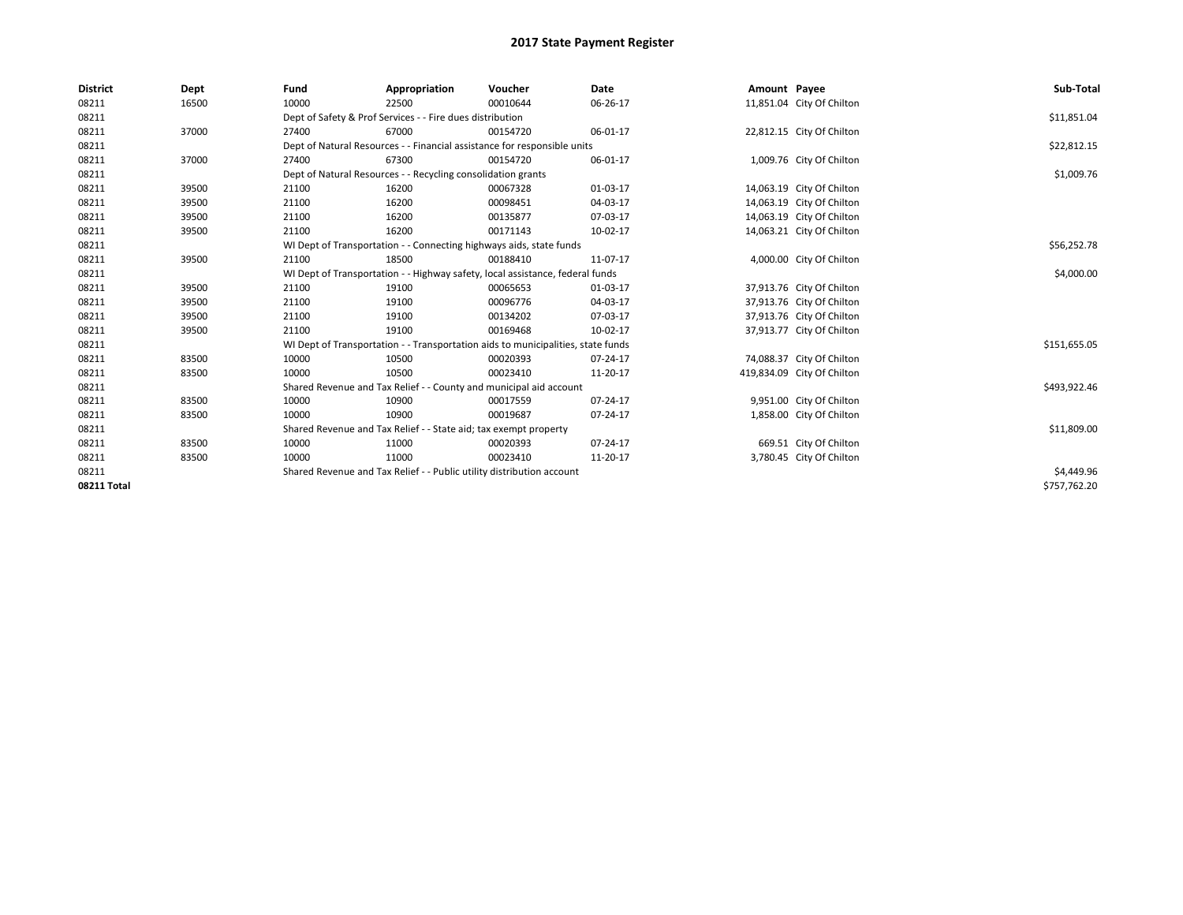| <b>District</b>    | Dept  | Fund  | Appropriation                                                                    | Voucher  | <b>Date</b> | Amount Payee |                            | Sub-Total    |  |  |
|--------------------|-------|-------|----------------------------------------------------------------------------------|----------|-------------|--------------|----------------------------|--------------|--|--|
| 08211              | 16500 | 10000 | 22500                                                                            | 00010644 | 06-26-17    |              | 11,851.04 City Of Chilton  |              |  |  |
| 08211              |       |       | Dept of Safety & Prof Services - - Fire dues distribution                        |          |             |              |                            | \$11,851.04  |  |  |
| 08211              | 37000 | 27400 | 67000                                                                            | 00154720 | 06-01-17    |              | 22,812.15 City Of Chilton  |              |  |  |
| 08211              |       |       | Dept of Natural Resources - - Financial assistance for responsible units         |          |             |              |                            | \$22,812.15  |  |  |
| 08211              | 37000 | 27400 | 67300                                                                            | 00154720 | 06-01-17    |              | 1,009.76 City Of Chilton   |              |  |  |
| 08211              |       |       | Dept of Natural Resources - - Recycling consolidation grants                     |          |             |              |                            | \$1,009.76   |  |  |
| 08211              | 39500 | 21100 | 16200                                                                            | 00067328 | 01-03-17    |              | 14,063.19 City Of Chilton  |              |  |  |
| 08211              | 39500 | 21100 | 16200                                                                            | 00098451 | 04-03-17    |              | 14,063.19 City Of Chilton  |              |  |  |
| 08211              | 39500 | 21100 | 16200                                                                            | 00135877 | 07-03-17    |              | 14,063.19 City Of Chilton  |              |  |  |
| 08211              | 39500 | 21100 | 16200                                                                            | 00171143 | 10-02-17    |              | 14,063.21 City Of Chilton  |              |  |  |
| 08211              |       |       | WI Dept of Transportation - - Connecting highways aids, state funds              |          |             |              |                            | \$56,252.78  |  |  |
| 08211              | 39500 | 21100 | 18500                                                                            | 00188410 | 11-07-17    |              | 4,000.00 City Of Chilton   |              |  |  |
| 08211              |       |       | WI Dept of Transportation - - Highway safety, local assistance, federal funds    |          |             |              |                            |              |  |  |
| 08211              | 39500 | 21100 | 19100                                                                            | 00065653 | 01-03-17    |              | 37,913.76 City Of Chilton  |              |  |  |
| 08211              | 39500 | 21100 | 19100                                                                            | 00096776 | 04-03-17    |              | 37,913.76 City Of Chilton  |              |  |  |
| 08211              | 39500 | 21100 | 19100                                                                            | 00134202 | 07-03-17    |              | 37,913.76 City Of Chilton  |              |  |  |
| 08211              | 39500 | 21100 | 19100                                                                            | 00169468 | 10-02-17    |              | 37,913.77 City Of Chilton  |              |  |  |
| 08211              |       |       | WI Dept of Transportation - - Transportation aids to municipalities, state funds |          |             |              |                            | \$151,655.05 |  |  |
| 08211              | 83500 | 10000 | 10500                                                                            | 00020393 | 07-24-17    |              | 74,088.37 City Of Chilton  |              |  |  |
| 08211              | 83500 | 10000 | 10500                                                                            | 00023410 | 11-20-17    |              | 419,834.09 City Of Chilton |              |  |  |
| 08211              |       |       | Shared Revenue and Tax Relief - - County and municipal aid account               |          |             |              |                            | \$493,922.46 |  |  |
| 08211              | 83500 | 10000 | 10900                                                                            | 00017559 | 07-24-17    |              | 9,951.00 City Of Chilton   |              |  |  |
| 08211              | 83500 | 10000 | 10900                                                                            | 00019687 | 07-24-17    |              | 1,858.00 City Of Chilton   |              |  |  |
| 08211              |       |       | Shared Revenue and Tax Relief - - State aid; tax exempt property                 |          |             |              |                            | \$11,809.00  |  |  |
| 08211              | 83500 | 10000 | 11000                                                                            | 00020393 | 07-24-17    |              | 669.51 City Of Chilton     |              |  |  |
| 08211              | 83500 | 10000 | 11000                                                                            | 00023410 | 11-20-17    |              | 3,780.45 City Of Chilton   |              |  |  |
| 08211              |       |       | Shared Revenue and Tax Relief - - Public utility distribution account            |          |             |              |                            | \$4,449.96   |  |  |
| <b>08211 Total</b> |       |       |                                                                                  |          |             |              |                            | \$757,762.20 |  |  |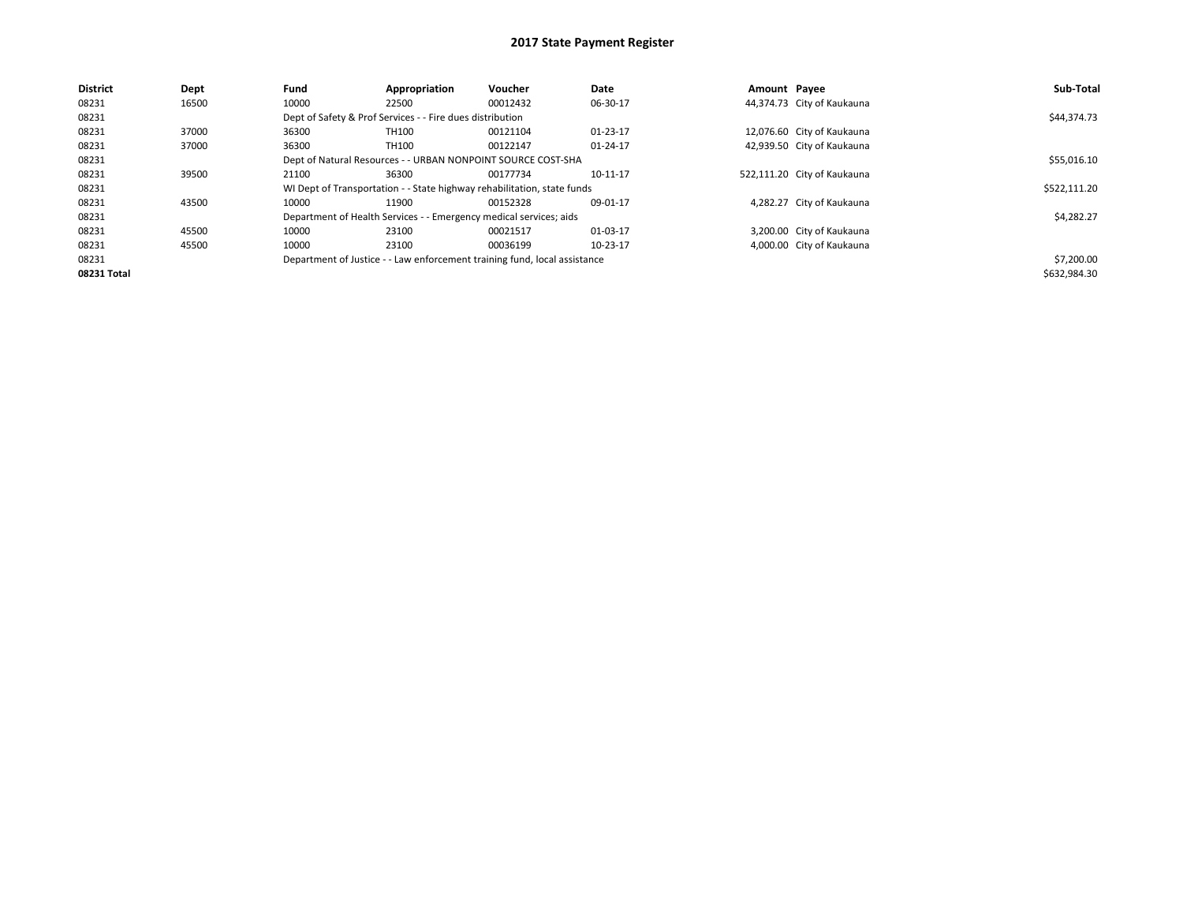| <b>District</b> | Dept  | Fund  | Appropriation                                                      | Voucher                                                                   | Date           | Amount Payee |                             | Sub-Total    |
|-----------------|-------|-------|--------------------------------------------------------------------|---------------------------------------------------------------------------|----------------|--------------|-----------------------------|--------------|
| 08231           | 16500 | 10000 | 22500                                                              | 00012432                                                                  | 06-30-17       |              | 44,374.73 City of Kaukauna  |              |
| 08231           |       |       | Dept of Safety & Prof Services - - Fire dues distribution          |                                                                           |                |              |                             | \$44,374.73  |
| 08231           | 37000 | 36300 | TH100                                                              | 00121104                                                                  | $01 - 23 - 17$ |              | 12,076.60 City of Kaukauna  |              |
| 08231           | 37000 | 36300 | TH100                                                              | 00122147                                                                  | 01-24-17       |              | 42,939.50 City of Kaukauna  |              |
| 08231           |       |       | Dept of Natural Resources - - URBAN NONPOINT SOURCE COST-SHA       |                                                                           |                |              |                             | \$55,016.10  |
| 08231           | 39500 | 21100 | 36300                                                              | 00177734                                                                  | 10-11-17       |              | 522,111.20 City of Kaukauna |              |
| 08231           |       |       |                                                                    | WI Dept of Transportation - - State highway rehabilitation, state funds   |                |              |                             | \$522,111.20 |
| 08231           | 43500 | 10000 | 11900                                                              | 00152328                                                                  | 09-01-17       |              | 4,282.27 City of Kaukauna   |              |
| 08231           |       |       | Department of Health Services - - Emergency medical services; aids |                                                                           |                |              |                             | \$4,282.27   |
| 08231           | 45500 | 10000 | 23100                                                              | 00021517                                                                  | 01-03-17       |              | 3,200.00 City of Kaukauna   |              |
| 08231           | 45500 | 10000 | 23100                                                              | 00036199                                                                  | 10-23-17       |              | 4,000.00 City of Kaukauna   |              |
| 08231           |       |       |                                                                    | Department of Justice - - Law enforcement training fund, local assistance |                |              |                             | \$7,200.00   |
| 08231 Total     |       |       |                                                                    |                                                                           |                |              |                             | \$632,984.30 |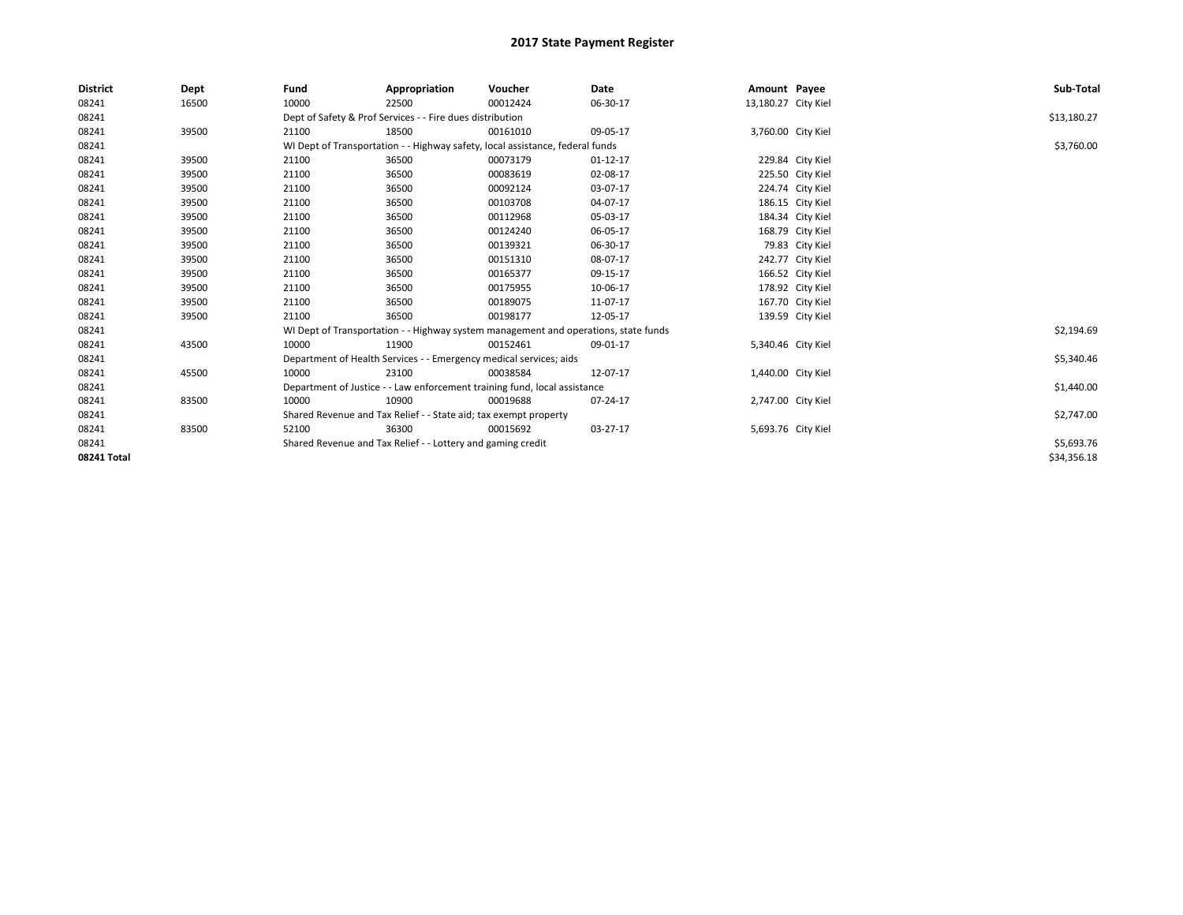| <b>District</b> | Dept  | Fund  | Appropriation                                                                       | Voucher  | Date     | Amount Payee        |                    | Sub-Total   |
|-----------------|-------|-------|-------------------------------------------------------------------------------------|----------|----------|---------------------|--------------------|-------------|
| 08241           | 16500 | 10000 | 22500                                                                               | 00012424 | 06-30-17 | 13,180.27 City Kiel |                    |             |
| 08241           |       |       | Dept of Safety & Prof Services - - Fire dues distribution                           |          |          |                     |                    | \$13,180.27 |
| 08241           | 39500 | 21100 | 18500                                                                               | 00161010 | 09-05-17 |                     | 3,760.00 City Kiel |             |
| 08241           |       |       | WI Dept of Transportation - - Highway safety, local assistance, federal funds       |          |          |                     |                    | \$3,760.00  |
| 08241           | 39500 | 21100 | 36500                                                                               | 00073179 | 01-12-17 |                     | 229.84 City Kiel   |             |
| 08241           | 39500 | 21100 | 36500                                                                               | 00083619 | 02-08-17 |                     | 225.50 City Kiel   |             |
| 08241           | 39500 | 21100 | 36500                                                                               | 00092124 | 03-07-17 |                     | 224.74 City Kiel   |             |
| 08241           | 39500 | 21100 | 36500                                                                               | 00103708 | 04-07-17 |                     | 186.15 City Kiel   |             |
| 08241           | 39500 | 21100 | 36500                                                                               | 00112968 | 05-03-17 |                     | 184.34 City Kiel   |             |
| 08241           | 39500 | 21100 | 36500                                                                               | 00124240 | 06-05-17 |                     | 168.79 City Kiel   |             |
| 08241           | 39500 | 21100 | 36500                                                                               | 00139321 | 06-30-17 |                     | 79.83 City Kiel    |             |
| 08241           | 39500 | 21100 | 36500                                                                               | 00151310 | 08-07-17 |                     | 242.77 City Kiel   |             |
| 08241           | 39500 | 21100 | 36500                                                                               | 00165377 | 09-15-17 |                     | 166.52 City Kiel   |             |
| 08241           | 39500 | 21100 | 36500                                                                               | 00175955 | 10-06-17 |                     | 178.92 City Kiel   |             |
| 08241           | 39500 | 21100 | 36500                                                                               | 00189075 | 11-07-17 |                     | 167.70 City Kiel   |             |
| 08241           | 39500 | 21100 | 36500                                                                               | 00198177 | 12-05-17 |                     | 139.59 City Kiel   |             |
| 08241           |       |       | WI Dept of Transportation - - Highway system management and operations, state funds |          |          |                     |                    | \$2,194.69  |
| 08241           | 43500 | 10000 | 11900                                                                               | 00152461 | 09-01-17 |                     | 5,340.46 City Kiel |             |
| 08241           |       |       | Department of Health Services - - Emergency medical services; aids                  |          |          |                     |                    | \$5,340.46  |
| 08241           | 45500 | 10000 | 23100                                                                               | 00038584 | 12-07-17 |                     | 1,440.00 City Kiel |             |
| 08241           |       |       | Department of Justice - - Law enforcement training fund, local assistance           |          |          |                     |                    | \$1,440.00  |
| 08241           | 83500 | 10000 | 10900                                                                               | 00019688 | 07-24-17 |                     | 2,747.00 City Kiel |             |
| 08241           |       |       | Shared Revenue and Tax Relief - - State aid; tax exempt property                    |          |          |                     |                    | \$2,747.00  |
| 08241           | 83500 | 52100 | 36300                                                                               | 00015692 | 03-27-17 |                     | 5,693.76 City Kiel |             |
| 08241           |       |       | Shared Revenue and Tax Relief - - Lottery and gaming credit                         |          |          |                     |                    | \$5,693.76  |
| 08241 Total     |       |       |                                                                                     |          |          |                     |                    | \$34,356.18 |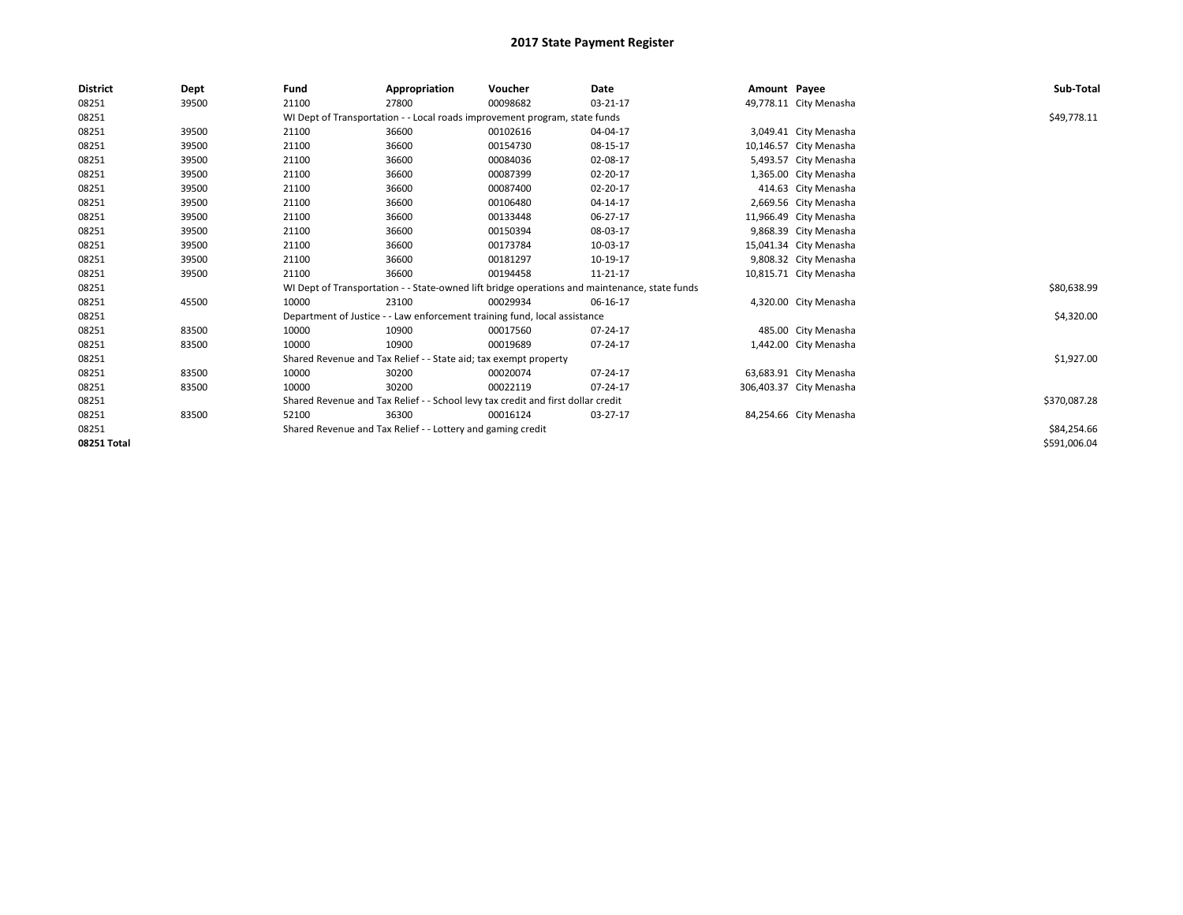| <b>District</b> | Dept  | Fund                                                                                          | Appropriation | Voucher      | Date           | Amount Payee |                         | Sub-Total    |
|-----------------|-------|-----------------------------------------------------------------------------------------------|---------------|--------------|----------------|--------------|-------------------------|--------------|
| 08251           | 39500 | 21100                                                                                         | 27800         | 00098682     | $03 - 21 - 17$ |              | 49,778.11 City Menasha  |              |
| 08251           |       | WI Dept of Transportation - - Local roads improvement program, state funds                    |               | \$49,778.11  |                |              |                         |              |
| 08251           | 39500 | 21100                                                                                         | 36600         | 00102616     | 04-04-17       |              | 3,049.41 City Menasha   |              |
| 08251           | 39500 | 21100                                                                                         | 36600         | 00154730     | 08-15-17       |              | 10,146.57 City Menasha  |              |
| 08251           | 39500 | 21100                                                                                         | 36600         | 00084036     | 02-08-17       |              | 5,493.57 City Menasha   |              |
| 08251           | 39500 | 21100                                                                                         | 36600         | 00087399     | 02-20-17       |              | 1,365.00 City Menasha   |              |
| 08251           | 39500 | 21100                                                                                         | 36600         | 00087400     | 02-20-17       |              | 414.63 City Menasha     |              |
| 08251           | 39500 | 21100                                                                                         | 36600         | 00106480     | 04-14-17       |              | 2,669.56 City Menasha   |              |
| 08251           | 39500 | 21100                                                                                         | 36600         | 00133448     | 06-27-17       |              | 11,966.49 City Menasha  |              |
| 08251           | 39500 | 21100                                                                                         | 36600         | 00150394     | 08-03-17       |              | 9,868.39 City Menasha   |              |
| 08251           | 39500 | 21100                                                                                         | 36600         | 00173784     | 10-03-17       |              | 15,041.34 City Menasha  |              |
| 08251           | 39500 | 21100                                                                                         | 36600         | 00181297     | 10-19-17       |              | 9,808.32 City Menasha   |              |
| 08251           | 39500 | 21100                                                                                         | 36600         | 00194458     | 11-21-17       |              | 10,815.71 City Menasha  |              |
| 08251           |       | WI Dept of Transportation - - State-owned lift bridge operations and maintenance, state funds |               | \$80,638.99  |                |              |                         |              |
| 08251           | 45500 | 10000                                                                                         | 23100         | 00029934     | 06-16-17       |              | 4,320.00 City Menasha   |              |
| 08251           |       | Department of Justice - - Law enforcement training fund, local assistance                     |               |              |                |              |                         | \$4,320.00   |
| 08251           | 83500 | 10000                                                                                         | 10900         | 00017560     | 07-24-17       |              | 485.00 City Menasha     |              |
| 08251           | 83500 | 10000                                                                                         | 10900         | 00019689     | 07-24-17       |              | 1,442.00 City Menasha   |              |
| 08251           |       | Shared Revenue and Tax Relief - - State aid; tax exempt property                              |               | \$1,927.00   |                |              |                         |              |
| 08251           | 83500 | 10000                                                                                         | 30200         | 00020074     | 07-24-17       |              | 63,683.91 City Menasha  |              |
| 08251           | 83500 | 10000                                                                                         | 30200         | 00022119     | 07-24-17       |              | 306,403.37 City Menasha |              |
| 08251           |       | Shared Revenue and Tax Relief - - School levy tax credit and first dollar credit              |               | \$370,087.28 |                |              |                         |              |
| 08251           | 83500 | 52100                                                                                         | 36300         | 00016124     | 03-27-17       |              | 84,254.66 City Menasha  |              |
| 08251           |       | Shared Revenue and Tax Relief - - Lottery and gaming credit                                   |               |              |                |              |                         | \$84,254.66  |
| 08251 Total     |       |                                                                                               |               |              |                |              |                         | \$591,006.04 |